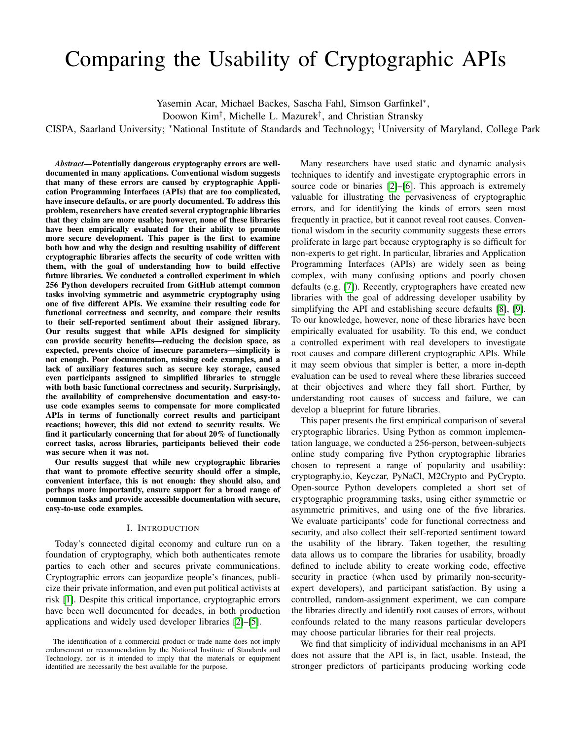# Comparing the Usability of Cryptographic APIs

Yasemin Acar, Michael Backes, Sascha Fahl, Simson Garfinkel<sup>∗</sup> ,

Doowon Kim<sup>†</sup>, Michelle L. Mazurek<sup>†</sup>, and Christian Stransky

CISPA, Saarland University; <sup>∗</sup>National Institute of Standards and Technology; †University of Maryland, College Park

*Abstract*—Potentially dangerous cryptography errors are welldocumented in many applications. Conventional wisdom suggests that many of these errors are caused by cryptographic Application Programming Interfaces (APIs) that are too complicated, have insecure defaults, or are poorly documented. To address this problem, researchers have created several cryptographic libraries that they claim are more usable; however, none of these libraries have been empirically evaluated for their ability to promote more secure development. This paper is the first to examine both how and why the design and resulting usability of different cryptographic libraries affects the security of code written with them, with the goal of understanding how to build effective future libraries. We conducted a controlled experiment in which 256 Python developers recruited from GitHub attempt common tasks involving symmetric and asymmetric cryptography using one of five different APIs. We examine their resulting code for functional correctness and security, and compare their results to their self-reported sentiment about their assigned library. Our results suggest that while APIs designed for simplicity can provide security benefits—reducing the decision space, as expected, prevents choice of insecure parameters—simplicity is not enough. Poor documentation, missing code examples, and a lack of auxiliary features such as secure key storage, caused even participants assigned to simplified libraries to struggle with both basic functional correctness and security. Surprisingly, the availability of comprehensive documentation and easy-touse code examples seems to compensate for more complicated APIs in terms of functionally correct results and participant reactions; however, this did not extend to security results. We find it particularly concerning that for about 20% of functionally correct tasks, across libraries, participants believed their code was secure when it was not.

Our results suggest that while new cryptographic libraries that want to promote effective security should offer a simple, convenient interface, this is not enough: they should also, and perhaps more importantly, ensure support for a broad range of common tasks and provide accessible documentation with secure, easy-to-use code examples.

# I. INTRODUCTION

Today's connected digital economy and culture run on a foundation of cryptography, which both authenticates remote parties to each other and secures private communications. Cryptographic errors can jeopardize people's finances, publicize their private information, and even put political activists at risk [\[1\]](#page-14-0). Despite this critical importance, cryptographic errors have been well documented for decades, in both production applications and widely used developer libraries [\[2\]](#page-14-1)–[\[5\]](#page-14-2).

Many researchers have used static and dynamic analysis techniques to identify and investigate cryptographic errors in source code or binaries [\[2\]](#page-14-1)–[\[6\]](#page-14-3). This approach is extremely valuable for illustrating the pervasiveness of cryptographic errors, and for identifying the kinds of errors seen most frequently in practice, but it cannot reveal root causes. Conventional wisdom in the security community suggests these errors proliferate in large part because cryptography is so difficult for non-experts to get right. In particular, libraries and Application Programming Interfaces (APIs) are widely seen as being complex, with many confusing options and poorly chosen defaults (e.g. [\[7\]](#page-14-4)). Recently, cryptographers have created new libraries with the goal of addressing developer usability by simplifying the API and establishing secure defaults [\[8\]](#page-14-5), [\[9\]](#page-14-6). To our knowledge, however, none of these libraries have been empirically evaluated for usability. To this end, we conduct a controlled experiment with real developers to investigate root causes and compare different cryptographic APIs. While it may seem obvious that simpler is better, a more in-depth evaluation can be used to reveal where these libraries succeed at their objectives and where they fall short. Further, by understanding root causes of success and failure, we can develop a blueprint for future libraries.

This paper presents the first empirical comparison of several cryptographic libraries. Using Python as common implementation language, we conducted a 256-person, between-subjects online study comparing five Python cryptographic libraries chosen to represent a range of popularity and usability: cryptography.io, Keyczar, PyNaCl, M2Crypto and PyCrypto. Open-source Python developers completed a short set of cryptographic programming tasks, using either symmetric or asymmetric primitives, and using one of the five libraries. We evaluate participants' code for functional correctness and security, and also collect their self-reported sentiment toward the usability of the library. Taken together, the resulting data allows us to compare the libraries for usability, broadly defined to include ability to create working code, effective security in practice (when used by primarily non-securityexpert developers), and participant satisfaction. By using a controlled, random-assignment experiment, we can compare the libraries directly and identify root causes of errors, without confounds related to the many reasons particular developers may choose particular libraries for their real projects.

We find that simplicity of individual mechanisms in an API does not assure that the API is, in fact, usable. Instead, the stronger predictors of participants producing working code

The identification of a commercial product or trade name does not imply endorsement or recommendation by the National Institute of Standards and Technology, nor is it intended to imply that the materials or equipment identified are necessarily the best available for the purpose.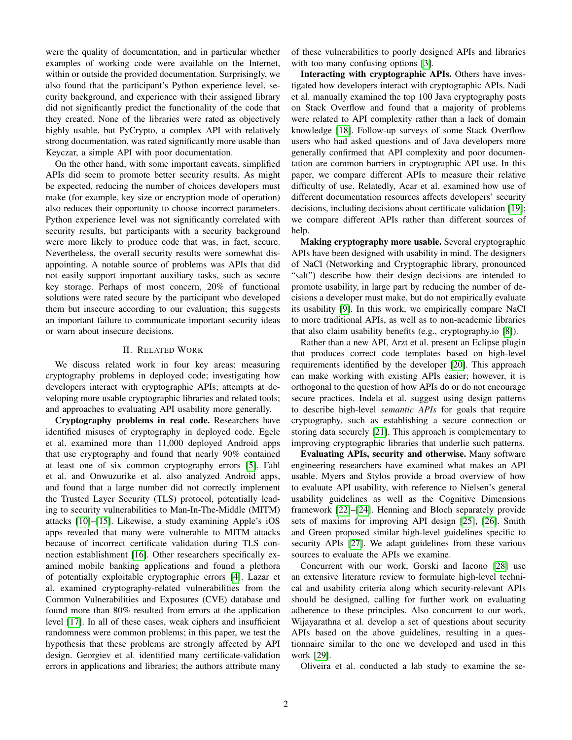were the quality of documentation, and in particular whether examples of working code were available on the Internet, within or outside the provided documentation. Surprisingly, we also found that the participant's Python experience level, security background, and experience with their assigned library did not significantly predict the functionality of the code that they created. None of the libraries were rated as objectively highly usable, but PyCrypto, a complex API with relatively strong documentation, was rated significantly more usable than Keyczar, a simple API with poor documentation.

On the other hand, with some important caveats, simplified APIs did seem to promote better security results. As might be expected, reducing the number of choices developers must make (for example, key size or encryption mode of operation) also reduces their opportunity to choose incorrect parameters. Python experience level was not significantly correlated with security results, but participants with a security background were more likely to produce code that was, in fact, secure. Nevertheless, the overall security results were somewhat disappointing. A notable source of problems was APIs that did not easily support important auxiliary tasks, such as secure key storage. Perhaps of most concern, 20% of functional solutions were rated secure by the participant who developed them but insecure according to our evaluation; this suggests an important failure to communicate important security ideas or warn about insecure decisions.

# II. RELATED WORK

We discuss related work in four key areas: measuring cryptography problems in deployed code; investigating how developers interact with cryptographic APIs; attempts at developing more usable cryptographic libraries and related tools; and approaches to evaluating API usability more generally.

Cryptography problems in real code. Researchers have identified misuses of cryptography in deployed code. Egele et al. examined more than 11,000 deployed Android apps that use cryptography and found that nearly 90% contained at least one of six common cryptography errors [\[5\]](#page-14-2). Fahl et al. and Onwuzurike et al. also analyzed Android apps, and found that a large number did not correctly implement the Trusted Layer Security (TLS) protocol, potentially leading to security vulnerabilities to Man-In-The-Middle (MITM) attacks [\[10\]](#page-14-7)–[\[15\]](#page-14-8). Likewise, a study examining Apple's iOS apps revealed that many were vulnerable to MITM attacks because of incorrect certificate validation during TLS connection establishment [\[16\]](#page-14-9). Other researchers specifically examined mobile banking applications and found a plethora of potentially exploitable cryptographic errors [\[4\]](#page-14-10). Lazar et al. examined cryptography-related vulnerabilities from the Common Vulnerabilities and Exposures (CVE) database and found more than 80% resulted from errors at the application level [\[17\]](#page-14-11). In all of these cases, weak ciphers and insufficient randomness were common problems; in this paper, we test the hypothesis that these problems are strongly affected by API design. Georgiev et al. identified many certificate-validation errors in applications and libraries; the authors attribute many of these vulnerabilities to poorly designed APIs and libraries with too many confusing options [\[3\]](#page-14-12).

Interacting with cryptographic APIs. Others have investigated how developers interact with cryptographic APIs. Nadi et al. manually examined the top 100 Java cryptography posts on Stack Overflow and found that a majority of problems were related to API complexity rather than a lack of domain knowledge [\[18\]](#page-14-13). Follow-up surveys of some Stack Overflow users who had asked questions and of Java developers more generally confirmed that API complexity and poor documentation are common barriers in cryptographic API use. In this paper, we compare different APIs to measure their relative difficulty of use. Relatedly, Acar et al. examined how use of different documentation resources affects developers' security decisions, including decisions about certificate validation [\[19\]](#page-14-14); we compare different APIs rather than different sources of help.

Making cryptography more usable. Several cryptographic APIs have been designed with usability in mind. The designers of NaCl (Networking and Cryptographic library, pronounced "salt") describe how their design decisions are intended to promote usability, in large part by reducing the number of decisions a developer must make, but do not empirically evaluate its usability [\[9\]](#page-14-6). In this work, we empirically compare NaCl to more traditional APIs, as well as to non-academic libraries that also claim usability benefits (e.g., cryptography.io [\[8\]](#page-14-5)).

Rather than a new API, Arzt et al. present an Eclipse plugin that produces correct code templates based on high-level requirements identified by the developer [\[20\]](#page-14-15). This approach can make working with existing APIs easier; however, it is orthogonal to the question of how APIs do or do not encourage secure practices. Indela et al. suggest using design patterns to describe high-level *semantic APIs* for goals that require cryptography, such as establishing a secure connection or storing data securely [\[21\]](#page-14-16). This approach is complementary to improving cryptographic libraries that underlie such patterns.

Evaluating APIs, security and otherwise. Many software engineering researchers have examined what makes an API usable. Myers and Stylos provide a broad overview of how to evaluate API usability, with reference to Nielsen's general usability guidelines as well as the Cognitive Dimensions framework [\[22\]](#page-14-17)–[\[24\]](#page-15-0). Henning and Bloch separately provide sets of maxims for improving API design [\[25\]](#page-15-1), [\[26\]](#page-15-2). Smith and Green proposed similar high-level guidelines specific to security APIs [\[27\]](#page-15-3). We adapt guidelines from these various sources to evaluate the APIs we examine.

Concurrent with our work, Gorski and Iacono [\[28\]](#page-15-4) use an extensive literature review to formulate high-level technical and usability criteria along which security-relevant APIs should be designed, calling for further work on evaluating adherence to these principles. Also concurrent to our work, Wijayarathna et al. develop a set of questions about security APIs based on the above guidelines, resulting in a questionnaire similar to the one we developed and used in this work [\[29\]](#page-15-5).

Oliveira et al. conducted a lab study to examine the se-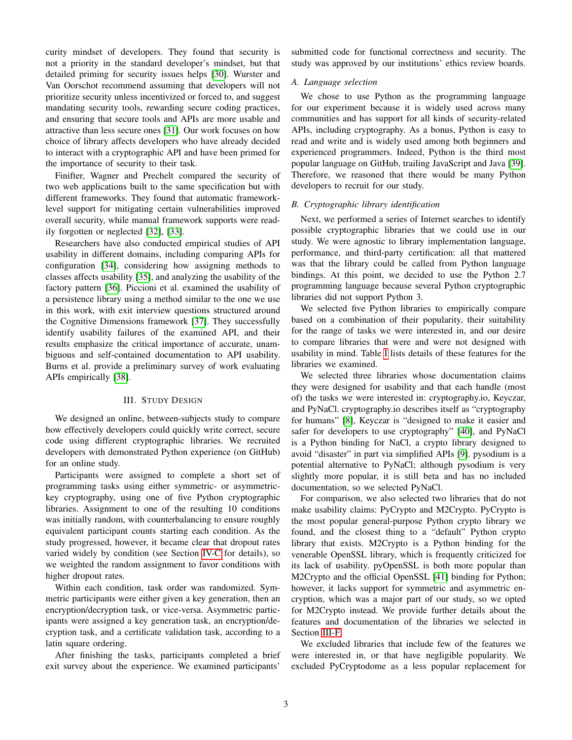curity mindset of developers. They found that security is not a priority in the standard developer's mindset, but that detailed priming for security issues helps [\[30\]](#page-15-6). Wurster and Van Oorschot recommend assuming that developers will not prioritize security unless incentivized or forced to, and suggest mandating security tools, rewarding secure coding practices, and ensuring that secure tools and APIs are more usable and attractive than less secure ones [\[31\]](#page-15-7). Our work focuses on how choice of library affects developers who have already decided to interact with a cryptographic API and have been primed for the importance of security to their task.

Finifter, Wagner and Prechelt compared the security of two web applications built to the same specification but with different frameworks. They found that automatic frameworklevel support for mitigating certain vulnerabilities improved overall security, while manual framework supports were readily forgotten or neglected [\[32\]](#page-15-8), [\[33\]](#page-15-9).

Researchers have also conducted empirical studies of API usability in different domains, including comparing APIs for configuration [\[34\]](#page-15-10), considering how assigning methods to classes affects usability [\[35\]](#page-15-11), and analyzing the usability of the factory pattern [\[36\]](#page-15-12). Piccioni et al. examined the usability of a persistence library using a method similar to the one we use in this work, with exit interview questions structured around the Cognitive Dimensions framework [\[37\]](#page-15-13). They successfully identify usability failures of the examined API, and their results emphasize the critical importance of accurate, unambiguous and self-contained documentation to API usability. Burns et al. provide a preliminary survey of work evaluating APIs empirically [\[38\]](#page-15-14).

# III. STUDY DESIGN

We designed an online, between-subjects study to compare how effectively developers could quickly write correct, secure code using different cryptographic libraries. We recruited developers with demonstrated Python experience (on GitHub) for an online study.

Participants were assigned to complete a short set of programming tasks using either symmetric- or asymmetrickey cryptography, using one of five Python cryptographic libraries. Assignment to one of the resulting 10 conditions was initially random, with counterbalancing to ensure roughly equivalent participant counts starting each condition. As the study progressed, however, it became clear that dropout rates varied widely by condition (see Section [IV-C](#page-8-0) for details), so we weighted the random assignment to favor conditions with higher dropout rates.

Within each condition, task order was randomized. Symmetric participants were either given a key generation, then an encryption/decryption task, or vice-versa. Asymmetric participants were assigned a key generation task, an encryption/decryption task, and a certificate validation task, according to a latin square ordering.

After finishing the tasks, participants completed a brief exit survey about the experience. We examined participants'

submitted code for functional correctness and security. The study was approved by our institutions' ethics review boards.

## *A. Language selection*

We chose to use Python as the programming language for our experiment because it is widely used across many communities and has support for all kinds of security-related APIs, including cryptography. As a bonus, Python is easy to read and write and is widely used among both beginners and experienced programmers. Indeed, Python is the third most popular language on GitHub, trailing JavaScript and Java [\[39\]](#page-15-15). Therefore, we reasoned that there would be many Python developers to recruit for our study.

## *B. Cryptographic library identification*

Next, we performed a series of Internet searches to identify possible cryptographic libraries that we could use in our study. We were agnostic to library implementation language, performance, and third-party certification: all that mattered was that the library could be called from Python language bindings. At this point, we decided to use the Python 2.7 programming language because several Python cryptographic libraries did not support Python 3.

We selected five Python libraries to empirically compare based on a combination of their popularity, their suitability for the range of tasks we were interested in, and our desire to compare libraries that were and were not designed with usability in mind. Table [I](#page-3-0) lists details of these features for the libraries we examined.

We selected three libraries whose documentation claims they were designed for usability and that each handle (most of) the tasks we were interested in: cryptography.io, Keyczar, and PyNaCl. cryptography.io describes itself as "cryptography for humans" [\[8\]](#page-14-5), Keyczar is "designed to make it easier and safer for developers to use cryptography" [\[40\]](#page-15-16), and PyNaCl is a Python binding for NaCl, a crypto library designed to avoid "disaster" in part via simplified APIs [\[9\]](#page-14-6). pysodium is a potential alternative to PyNaCl; although pysodium is very slightly more popular, it is still beta and has no included documentation, so we selected PyNaCl.

For comparison, we also selected two libraries that do not make usability claims: PyCrypto and M2Crypto. PyCrypto is the most popular general-purpose Python crypto library we found, and the closest thing to a "default" Python crypto library that exists. M2Crypto is a Python binding for the venerable OpenSSL library, which is frequently criticized for its lack of usability. pyOpenSSL is both more popular than M2Crypto and the official OpenSSL [\[41\]](#page-15-17) binding for Python; however, it lacks support for symmetric and asymmetric encryption, which was a major part of our study, so we opted for M2Crypto instead. We provide further details about the features and documentation of the libraries we selected in Section [III-F.](#page-4-0)

We excluded libraries that include few of the features we were interested in, or that have negligible popularity. We excluded PyCryptodome as a less popular replacement for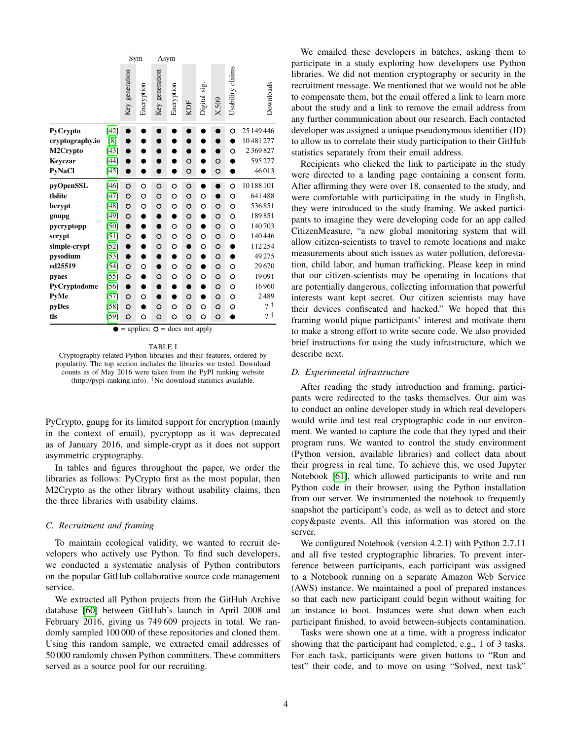|                 |        |                | Sym        |                | Asym       |            |              |         |                  |                |
|-----------------|--------|----------------|------------|----------------|------------|------------|--------------|---------|------------------|----------------|
|                 |        | Key generation | Encryption | Key generation | Encryption | <b>KDF</b> | Digital sig. | X.509   | Usability claims | Downloads      |
| PyCrypto        | $[42]$ |                |            |                |            |            |              |         | Ō                | 25 149 446     |
| cryptography.io | [8]    |                |            |                |            |            |              |         |                  | 10481277       |
| M2Crypto        | [43]   |                |            |                |            | ۵          |              | D       | O                | 2369827        |
| <b>Keyczar</b>  | $[44]$ | D              |            |                |            | O          |              | O       |                  | 595 277        |
| <b>PyNaCl</b>   | $[45]$ |                |            |                |            | O          |              | O       |                  | 46013          |
| pyOpenSSL       | $[46]$ | O              | O          | $\circ$        | $\circ$    | O          |              | ð       | O                | 10188101       |
| tlslite         | $[47]$ | O              | O          | $\circ$        | $\circ$    | O          | O            | D       | O                | 641488         |
| bcrypt          | [48]   | O              | $\circ$    | $\circ$        | $\circ$    | O          | O            | $\circ$ | O                | 536851         |
| gnupg           | [49]   | O              |            |                |            | O          |              | $\circ$ | O                | 189851         |
| pycryptopp      | $[50]$ | ۵              |            | $\bullet$      | $\circ$    | O          | ●            | $\circ$ | O                | 140703         |
| scrypt          | $[51]$ | O              |            | $\circ$        | $\circ$    | O          | O            | O       | O                | 140446         |
| simple-crypt    | $[52]$ | D              |            | O              | $\circ$    | $\bullet$  | $\circ$      | $\circ$ |                  | 112254         |
| pysodium        | $[53]$ |                |            | ●              | ●          | $\circ$    |              | $\circ$ |                  | 49275          |
| ed25519         | $[54]$ | O              | O          | $\bullet$      | $\circ$    | O          | ●            | $\circ$ | $\circ$          | 29670          |
| pyaes           | $[55]$ | O              |            | O              | O          | O          | O            | $\circ$ | O                | 19091          |
| PyCryptodome    | $[56]$ | ۵              |            |                |            | $\bullet$  |              | $\circ$ | O                | 16960          |
| PyMe            | $[57]$ | O              | O          | ٥              | ٠          | $\circ$    | ●            | O       | O                | 2489           |
| pyDes           | $[58]$ | O              |            | $\circ$        | $\circ$    | O          | O            | O       | O                | 2 <sub>1</sub> |
| tls             | $[59]$ | O              | Ō          | O              | $\circ$    | O          | $\circ$      | $\circ$ |                  | $\gamma$ †     |

 $\bullet$  = applies;  $O$  = does not apply

#### TABLE I

<span id="page-3-0"></span>Cryptography-related Python libraries and their features, ordered by popularity. The top section includes the libraries we tested. Download counts as of May 2016 were taken from the PyPI ranking website (http://pypi-ranking.info). †No download statistics available.

PyCrypto, gnupg for its limited support for encryption (mainly in the context of email), pycryptopp as it was deprecated as of January 2016, and simple-crypt as it does not support asymmetric cryptography.

In tables and figures throughout the paper, we order the libraries as follows: PyCrypto first as the most popular, then M2Crypto as the other library without usability claims, then the three libraries with usability claims.

# *C. Recruitment and framing*

To maintain ecological validity, we wanted to recruit developers who actively use Python. To find such developers, we conducted a systematic analysis of Python contributors on the popular GitHub collaborative source code management service.

We extracted all Python projects from the GitHub Archive database [\[60\]](#page-15-36) between GitHub's launch in April 2008 and February 2016, giving us 749 609 projects in total. We randomly sampled 100 000 of these repositories and cloned them. Using this random sample, we extracted email addresses of 50 000 randomly chosen Python committers. These committers served as a source pool for our recruiting.

We emailed these developers in batches, asking them to participate in a study exploring how developers use Python libraries. We did not mention cryptography or security in the recruitment message. We mentioned that we would not be able to compensate them, but the email offered a link to learn more about the study and a link to remove the email address from any further communication about our research. Each contacted developer was assigned a unique pseudonymous identifier (ID) to allow us to correlate their study participation to their GitHub statistics separately from their email address.

Recipients who clicked the link to participate in the study were directed to a landing page containing a consent form. After affirming they were over 18, consented to the study, and were comfortable with participating in the study in English, they were introduced to the study framing. We asked participants to imagine they were developing code for an app called CitizenMeasure, "a new global monitoring system that will allow citizen-scientists to travel to remote locations and make measurements about such issues as water pollution, deforestation, child labor, and human trafficking. Please keep in mind that our citizen-scientists may be operating in locations that are potentially dangerous, collecting information that powerful interests want kept secret. Our citizen scientists may have their devices confiscated and hacked." We hoped that this framing would pique participants' interest and motivate them to make a strong effort to write secure code. We also provided brief instructions for using the study infrastructure, which we describe next.

## *D. Experimental infrastructure*

After reading the study introduction and framing, participants were redirected to the tasks themselves. Our aim was to conduct an online developer study in which real developers would write and test real cryptographic code in our environment. We wanted to capture the code that they typed and their program runs. We wanted to control the study environment (Python version, available libraries) and collect data about their progress in real time. To achieve this, we used Jupyter Notebook [\[61\]](#page-15-37), which allowed participants to write and run Python code in their browser, using the Python installation from our server. We instrumented the notebook to frequently snapshot the participant's code, as well as to detect and store copy&paste events. All this information was stored on the server.

We configured Notebook (version 4.2.1) with Python 2.7.11 and all five tested cryptographic libraries. To prevent interference between participants, each participant was assigned to a Notebook running on a separate Amazon Web Service (AWS) instance. We maintained a pool of prepared instances so that each new participant could begin without waiting for an instance to boot. Instances were shut down when each participant finished, to avoid between-subjects contamination.

Tasks were shown one at a time, with a progress indicator showing that the participant had completed, e.g., 1 of 3 tasks. For each task, participants were given buttons to "Run and test" their code, and to move on using "Solved, next task"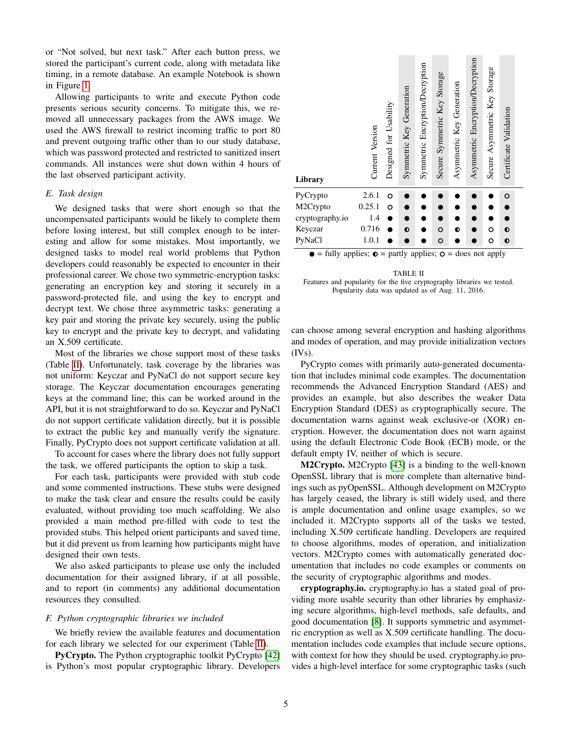or "Not solved, but next task." After each button press, we stored the participant's current code, along with metadata like timing, in a remote database. An example Notebook is shown in Figure [1.](#page-5-0)

Allowing participants to write and execute Python code presents serious security concerns. To mitigate this, we removed all unnecessary packages from the AWS image. We used the AWS firewall to restrict incoming traffic to port 80 and prevent outgoing traffic other than to our study database, which was password protected and restricted to sanitized insert commands. All instances were shut down within 4 hours of the last observed participant activity.

# *E. Task design*

We designed tasks that were short enough so that the uncompensated participants would be likely to complete them before losing interest, but still complex enough to be interesting and allow for some mistakes. Most importantly, we designed tasks to model real world problems that Python developers could reasonably be expected to encounter in their professional career. We chose two symmetric-encryption tasks: generating an encryption key and storing it securely in a password-protected file, and using the key to encrypt and decrypt text. We chose three asymmetric tasks: generating a key pair and storing the private key securely, using the public key to encrypt and the private key to decrypt, and validating an X.509 certificate.

Most of the libraries we chose support most of these tasks (Table [II\)](#page-4-1). Unfortunately, task coverage by the libraries was not uniform: Keyczar and PyNaCl do not support secure key storage. The Keyczar documentation encourages generating keys at the command line; this can be worked around in the API, but it is not straightforward to do so. Keyczar and PyNaCl do not support certificate validation directly, but it is possible to extract the public key and manually verify the signature. Finally, PyCrypto does not support certificate validation at all.

To account for cases where the library does not fully support the task, we offered participants the option to skip a task.

For each task, participants were provided with stub code and some commented instructions. These stubs were designed to make the task clear and ensure the results could be easily evaluated, without providing too much scaffolding. We also provided a main method pre-filled with code to test the provided stubs. This helped orient participants and saved time, but it did prevent us from learning how participants might have designed their own tests.

We also asked participants to please use only the included documentation for their assigned library, if at all possible, and to report (in comments) any additional documentation resources they consulted.

# <span id="page-4-0"></span>*F. Python cryptographic libraries we included*

We briefly review the available features and documentation for each library we selected for our experiment (Table [II\)](#page-4-1).

PyCrypto. The Python cryptographic toolkit PyCrypto [\[42\]](#page-15-18) is Python's most popular cryptographic library. Developers

| Library                                                                       | <b>Current Version</b> | Designed for Usability | Symmetric Key Generation | Symmetric Encryption/Decryption | Secure Symmetric Key Storage | Asymmetric Key Generation | Asymmetric Encryption/Decryption | Secure Asymmetric Key Storage | Certificate Validation |  |
|-------------------------------------------------------------------------------|------------------------|------------------------|--------------------------|---------------------------------|------------------------------|---------------------------|----------------------------------|-------------------------------|------------------------|--|
| PyCrypto                                                                      | 2.6.1                  | O                      |                          |                                 |                              |                           |                                  |                               | O                      |  |
| M2Crypto                                                                      | 0.25.1                 | Ō                      |                          |                                 |                              |                           |                                  |                               |                        |  |
| cryptography.io                                                               | 1.4                    |                        |                          |                                 |                              |                           |                                  |                               |                        |  |
| Keyczar                                                                       | 0.716                  |                        | $\bullet$                |                                 | O                            | O                         |                                  | O                             | $\bullet$              |  |
| PyNaCl                                                                        | 1.0.1                  |                        |                          |                                 | O                            |                           |                                  | O                             | 0                      |  |
| = fully applies; $\mathbf{o}$ = partly applies; $\mathbf{o}$ = does not apply |                        |                        |                          |                                 |                              |                           |                                  |                               |                        |  |

<span id="page-4-1"></span>TABLE II Features and popularity for the five cryptography libraries we tested. Popularity data was updated as of Aug. 11, 2016.

can choose among several encryption and hashing algorithms and modes of operation, and may provide initialization vectors  $(IVs).$ 

PyCrypto comes with primarily auto-generated documentation that includes minimal code examples. The documentation recommends the Advanced Encryption Standard (AES) and provides an example, but also describes the weaker Data Encryption Standard (DES) as cryptographically secure. The documentation warns against weak exclusive-or (XOR) encryption. However, the documentation does not warn against using the default Electronic Code Book (ECB) mode, or the default empty IV, neither of which is secure.

M2Crypto. M2Crypto [\[43\]](#page-15-19) is a binding to the well-known OpenSSL library that is more complete than alternative bindings such as pyOpenSSL. Although development on M2Crypto has largely ceased, the library is still widely used, and there is ample documentation and online usage examples, so we included it. M2Crypto supports all of the tasks we tested, including X.509 certificate handling. Developers are required to choose algorithms, modes of operation, and initialization vectors. M2Crypto comes with automatically generated documentation that includes no code examples or comments on the security of cryptographic algorithms and modes.

cryptography.io. cryptography.io has a stated goal of providing more usable security than other libraries by emphasizing secure algorithms, high-level methods, safe defaults, and good documentation [\[8\]](#page-14-5). It supports symmetric and asymmetric encryption as well as X.509 certificate handling. The documentation includes code examples that include secure options, with context for how they should be used. cryptography.io provides a high-level interface for some cryptographic tasks (such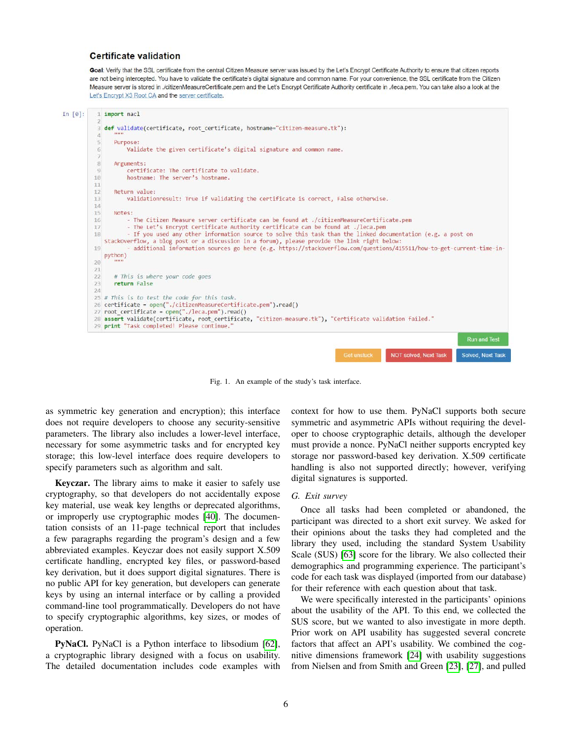# **Certificate validation**

Goal: Verify that the SSL certificate from the central Citizen Measure server was issued by the Let's Encrypt Certificate Authority to ensure that citizen reports are not being intercepted. You have to validate the certificate's digital signature and common name. For your convenience, the SSL certificate from the Citizen Measure server is stored in ./citizenMeasureCertificate.pem and the Let's Encrypt Certificate Authority certificate in ./leca.pem. You can take also a look at the Let's Encrypt X3 Root CA and the server certificate.



<span id="page-5-0"></span>Fig. 1. An example of the study's task interface.

as symmetric key generation and encryption); this interface does not require developers to choose any security-sensitive parameters. The library also includes a lower-level interface, necessary for some asymmetric tasks and for encrypted key storage; this low-level interface does require developers to specify parameters such as algorithm and salt.

Keyczar. The library aims to make it easier to safely use cryptography, so that developers do not accidentally expose key material, use weak key lengths or deprecated algorithms, or improperly use cryptographic modes [\[40\]](#page-15-16). The documentation consists of an 11-page technical report that includes a few paragraphs regarding the program's design and a few abbreviated examples. Keyczar does not easily support X.509 certificate handling, encrypted key files, or password-based key derivation, but it does support digital signatures. There is no public API for key generation, but developers can generate keys by using an internal interface or by calling a provided command-line tool programmatically. Developers do not have to specify cryptographic algorithms, key sizes, or modes of operation.

PyNaCl. PyNaCl is a Python interface to libsodium [\[62\]](#page-15-38), a cryptographic library designed with a focus on usability. The detailed documentation includes code examples with

context for how to use them. PyNaCl supports both secure symmetric and asymmetric APIs without requiring the developer to choose cryptographic details, although the developer must provide a nonce. PyNaCl neither supports encrypted key storage nor password-based key derivation. X.509 certificate handling is also not supported directly; however, verifying digital signatures is supported.

### <span id="page-5-1"></span>*G. Exit survey*

Once all tasks had been completed or abandoned, the participant was directed to a short exit survey. We asked for their opinions about the tasks they had completed and the library they used, including the standard System Usability Scale (SUS) [\[63\]](#page-15-39) score for the library. We also collected their demographics and programming experience. The participant's code for each task was displayed (imported from our database) for their reference with each question about that task.

We were specifically interested in the participants' opinions about the usability of the API. To this end, we collected the SUS score, but we wanted to also investigate in more depth. Prior work on API usability has suggested several concrete factors that affect an API's usability. We combined the cognitive dimensions framework [\[24\]](#page-15-0) with usability suggestions from Nielsen and from Smith and Green [\[23\]](#page-15-40), [\[27\]](#page-15-3), and pulled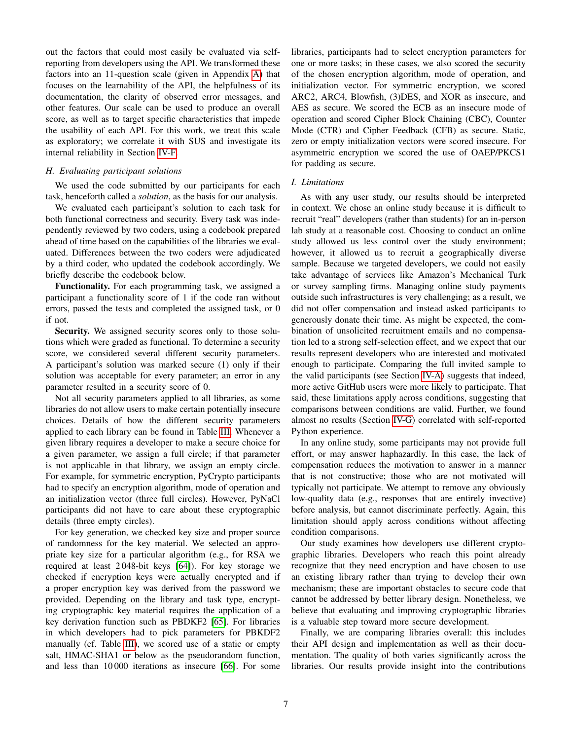out the factors that could most easily be evaluated via selfreporting from developers using the API. We transformed these factors into an 11-question scale (given in Appendix [A\)](#page-15-41) that focuses on the learnability of the API, the helpfulness of its documentation, the clarity of observed error messages, and other features. Our scale can be used to produce an overall score, as well as to target specific characteristics that impede the usability of each API. For this work, we treat this scale as exploratory; we correlate it with SUS and investigate its internal reliability in Section [IV-F.](#page-11-0)

# <span id="page-6-0"></span>*H. Evaluating participant solutions*

We used the code submitted by our participants for each task, henceforth called a *solution*, as the basis for our analysis.

We evaluated each participant's solution to each task for both functional correctness and security. Every task was independently reviewed by two coders, using a codebook prepared ahead of time based on the capabilities of the libraries we evaluated. Differences between the two coders were adjudicated by a third coder, who updated the codebook accordingly. We briefly describe the codebook below.

Functionality. For each programming task, we assigned a participant a functionality score of 1 if the code ran without errors, passed the tests and completed the assigned task, or 0 if not.

Security. We assigned security scores only to those solutions which were graded as functional. To determine a security score, we considered several different security parameters. A participant's solution was marked secure (1) only if their solution was acceptable for every parameter; an error in any parameter resulted in a security score of 0.

Not all security parameters applied to all libraries, as some libraries do not allow users to make certain potentially insecure choices. Details of how the different security parameters applied to each library can be found in Table [III.](#page-7-0) Whenever a given library requires a developer to make a secure choice for a given parameter, we assign a full circle; if that parameter is not applicable in that library, we assign an empty circle. For example, for symmetric encryption, PyCrypto participants had to specify an encryption algorithm, mode of operation and an initialization vector (three full circles). However, PyNaCl participants did not have to care about these cryptographic details (three empty circles).

For key generation, we checked key size and proper source of randomness for the key material. We selected an appropriate key size for a particular algorithm (e.g., for RSA we required at least 2 048-bit keys [\[64\]](#page-15-42)). For key storage we checked if encryption keys were actually encrypted and if a proper encryption key was derived from the password we provided. Depending on the library and task type, encrypting cryptographic key material requires the application of a key derivation function such as PBDKF2 [\[65\]](#page-15-43). For libraries in which developers had to pick parameters for PBKDF2 manually (cf. Table [III\)](#page-7-0), we scored use of a static or empty salt, HMAC-SHA1 or below as the pseudorandom function, and less than 10 000 iterations as insecure [\[66\]](#page-15-44). For some libraries, participants had to select encryption parameters for one or more tasks; in these cases, we also scored the security of the chosen encryption algorithm, mode of operation, and initialization vector. For symmetric encryption, we scored ARC2, ARC4, Blowfish, (3)DES, and XOR as insecure, and AES as secure. We scored the ECB as an insecure mode of operation and scored Cipher Block Chaining (CBC), Counter Mode (CTR) and Cipher Feedback (CFB) as secure. Static, zero or empty initialization vectors were scored insecure. For asymmetric encryption we scored the use of OAEP/PKCS1 for padding as secure.

### *I. Limitations*

As with any user study, our results should be interpreted in context. We chose an online study because it is difficult to recruit "real" developers (rather than students) for an in-person lab study at a reasonable cost. Choosing to conduct an online study allowed us less control over the study environment; however, it allowed us to recruit a geographically diverse sample. Because we targeted developers, we could not easily take advantage of services like Amazon's Mechanical Turk or survey sampling firms. Managing online study payments outside such infrastructures is very challenging; as a result, we did not offer compensation and instead asked participants to generously donate their time. As might be expected, the combination of unsolicited recruitment emails and no compensation led to a strong self-selection effect, and we expect that our results represent developers who are interested and motivated enough to participate. Comparing the full invited sample to the valid participants (see Section [IV-A\)](#page-7-1) suggests that indeed, more active GitHub users were more likely to participate. That said, these limitations apply across conditions, suggesting that comparisons between conditions are valid. Further, we found almost no results (Section [IV-G\)](#page-13-0) correlated with self-reported Python experience.

In any online study, some participants may not provide full effort, or may answer haphazardly. In this case, the lack of compensation reduces the motivation to answer in a manner that is not constructive; those who are not motivated will typically not participate. We attempt to remove any obviously low-quality data (e.g., responses that are entirely invective) before analysis, but cannot discriminate perfectly. Again, this limitation should apply across conditions without affecting condition comparisons.

Our study examines how developers use different cryptographic libraries. Developers who reach this point already recognize that they need encryption and have chosen to use an existing library rather than trying to develop their own mechanism; these are important obstacles to secure code that cannot be addressed by better library design. Nonetheless, we believe that evaluating and improving cryptographic libraries is a valuable step toward more secure development.

Finally, we are comparing libraries overall: this includes their API design and implementation as well as their documentation. The quality of both varies significantly across the libraries. Our results provide insight into the contributions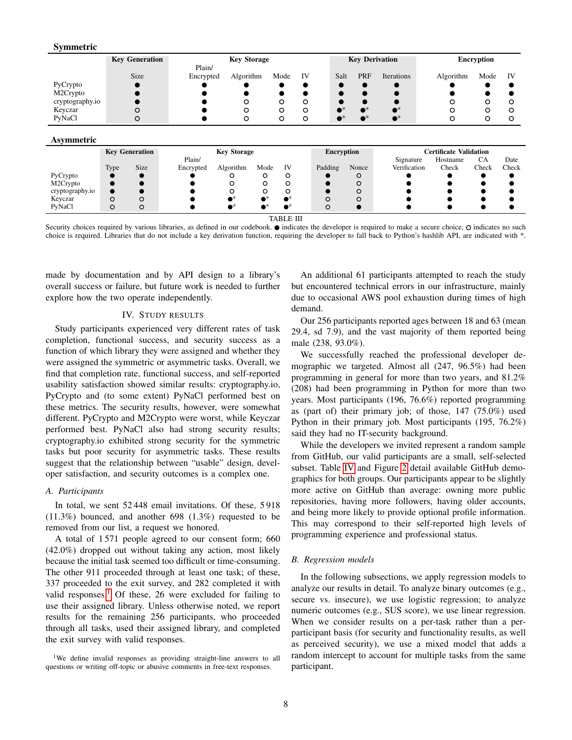# Symmetric

|                 |                       | <b>Key Generation</b> |           | <b>Key Storage</b> |      |      |         |         |                   | <b>Key Derivation</b> |              |                               | <b>Encryption</b> |       |
|-----------------|-----------------------|-----------------------|-----------|--------------------|------|------|---------|---------|-------------------|-----------------------|--------------|-------------------------------|-------------------|-------|
|                 |                       |                       | Plain/    |                    |      |      |         |         |                   |                       |              |                               |                   |       |
|                 |                       | Size                  | Encrypted | Algorithm          |      | Mode | IV      |         | Salt              | PRF                   | Iterations   | Algorithm                     | Mode              | IV    |
| PyCrypto        |                       |                       |           |                    |      |      |         |         |                   |                       |              |                               |                   |       |
| M2Crypto        |                       |                       |           |                    |      |      |         |         |                   |                       |              |                               |                   |       |
| cryptography.io |                       |                       |           |                    |      | O    | O       |         |                   |                       |              |                               |                   | O     |
| Keyczar         |                       | O                     |           | О                  |      | O    | $\circ$ |         |                   | $\bullet^*$           | $\bullet^*$  |                               |                   | O     |
| PyNaCl          |                       | O                     |           | O                  |      | O    | $\circ$ |         | $\bullet^*$       | $\bullet^*$           | $\bullet^*$  | O                             | Ο                 | O     |
|                 |                       |                       |           |                    |      |      |         |         |                   |                       |              |                               |                   |       |
| Asymmetric      |                       |                       |           |                    |      |      |         |         |                   |                       |              |                               |                   |       |
|                 | <b>Key Generation</b> |                       |           | <b>Key Storage</b> |      |      |         |         | <b>Encryption</b> |                       |              | <b>Certificate Validation</b> |                   |       |
|                 |                       |                       | Plain/    |                    |      |      |         |         |                   |                       | Signature    | Hostname                      | CA                | Date  |
|                 | Type                  | Size                  | Encrypted | Algorithm          | Mode | IV   |         | Padding |                   | Nonce                 | Verification | Check                         | Check             | Check |
| PyCrypto        |                       |                       |           |                    | O    | O    |         |         |                   | O                     |              |                               |                   |       |
| M2Crypto        |                       |                       |           |                    | O    | O    |         |         |                   | O                     |              |                               |                   |       |
| cryptography.io |                       |                       |           |                    | O    |      |         |         |                   | $\circ$               |              |                               |                   |       |
| Keyczar         | O                     | O                     |           |                    |      |      |         | O       |                   | $\circ$               |              |                               |                   |       |
| PyNaCl          | O                     | O                     |           |                    |      | ×.   |         | O       |                   | $\bullet$             |              |                               |                   |       |

TABLE III

<span id="page-7-0"></span>Security choices required by various libraries, as defined in our codebook.  $\bullet$  indicates the developer is required to make a secure choice,  $\circ$  indicates no such choice is required. Libraries that do not include a key derivation function, requiring the developer to fall back to Python's hashlib API, are indicated with \*.

made by documentation and by API design to a library's overall success or failure, but future work is needed to further explore how the two operate independently.

# IV. STUDY RESULTS

Study participants experienced very different rates of task completion, functional success, and security success as a function of which library they were assigned and whether they were assigned the symmetric or asymmetric tasks. Overall, we find that completion rate, functional success, and self-reported usability satisfaction showed similar results: cryptography.io, PyCrypto and (to some extent) PyNaCl performed best on these metrics. The security results, however, were somewhat different. PyCrypto and M2Crypto were worst, while Keyczar performed best. PyNaCl also had strong security results; cryptography.io exhibited strong security for the symmetric tasks but poor security for asymmetric tasks. These results suggest that the relationship between "usable" design, developer satisfaction, and security outcomes is a complex one.

## <span id="page-7-1"></span>*A. Participants*

In total, we sent 52 448 email invitations. Of these, 5 918  $(11.3\%)$  bounced, and another 698  $(1.3\%)$  requested to be removed from our list, a request we honored.

A total of 1 571 people agreed to our consent form; 660 (42.0%) dropped out without taking any action, most likely because the initial task seemed too difficult or time-consuming. The other 911 proceeded through at least one task; of these, 337 proceeded to the exit survey, and 282 completed it with valid responses.<sup>[1](#page-7-2)</sup> Of these, 26 were excluded for failing to use their assigned library. Unless otherwise noted, we report results for the remaining 256 participants, who proceeded through all tasks, used their assigned library, and completed the exit survey with valid responses.

<span id="page-7-2"></span><sup>1</sup>We define invalid responses as providing straight-line answers to all questions or writing off-topic or abusive comments in free-text responses.

An additional 61 participants attempted to reach the study but encountered technical errors in our infrastructure, mainly due to occasional AWS pool exhaustion during times of high demand.

Our 256 participants reported ages between 18 and 63 (mean 29.4, sd 7.9), and the vast majority of them reported being male (238, 93.0%).

We successfully reached the professional developer demographic we targeted. Almost all (247, 96.5%) had been programming in general for more than two years, and 81.2% (208) had been programming in Python for more than two years. Most participants (196, 76.6%) reported programming as (part of) their primary job; of those, 147 (75.0%) used Python in their primary job. Most participants (195, 76.2%) said they had no IT-security background.

While the developers we invited represent a random sample from GitHub, our valid participants are a small, self-selected subset. Table [IV](#page-8-1) and Figure [2](#page-8-2) detail available GitHub demographics for both groups. Our participants appear to be slightly more active on GitHub than average: owning more public repositories, having more followers, having older accounts, and being more likely to provide optional profile information. This may correspond to their self-reported high levels of programming experience and professional status.

# <span id="page-7-3"></span>*B. Regression models*

In the following subsections, we apply regression models to analyze our results in detail. To analyze binary outcomes (e.g., secure vs. insecure), we use logistic regression; to analyze numeric outcomes (e.g., SUS score), we use linear regression. When we consider results on a per-task rather than a perparticipant basis (for security and functionality results, as well as perceived security), we use a mixed model that adds a random intercept to account for multiple tasks from the same participant.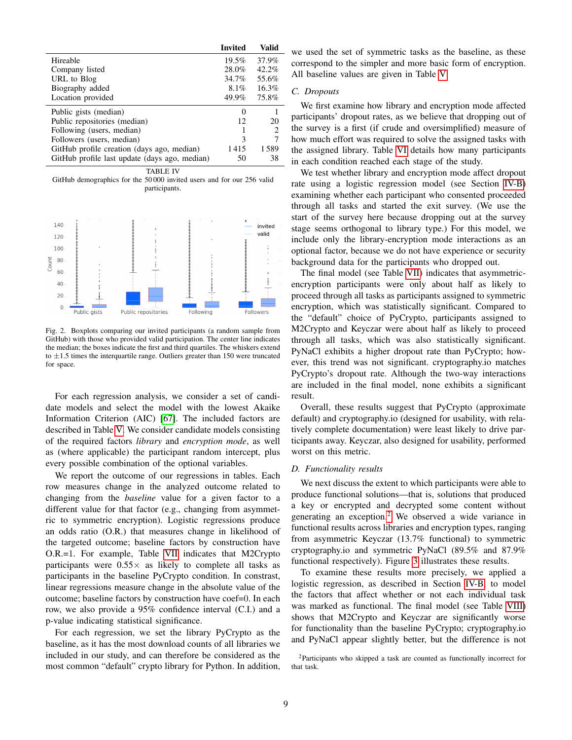|                                               | <b>Invited</b> | Valid |
|-----------------------------------------------|----------------|-------|
| Hireable                                      | 19.5%          | 37.9% |
| Company listed                                | 28.0%          | 42.2% |
| URL to Blog                                   | 34.7%          | 55.6% |
| Biography added                               | $8.1\%$        | 16.3% |
| Location provided                             | 49.9%          | 75.8% |
| Public gists (median)                         | 0              |       |
| Public repositories (median)                  | 12             | 20    |
| Following (users, median)                     |                | 2     |
| Followers (users, median)                     | 3              |       |
| GitHub profile creation (days ago, median)    | 1415           | 1589  |
| GitHub profile last update (days ago, median) | 50             | 38    |

TABLE IV

<span id="page-8-1"></span>GitHub demographics for the 50 000 invited users and for our 256 valid participants.



<span id="page-8-2"></span>Fig. 2. Boxplots comparing our invited participants (a random sample from GitHub) with those who provided valid participation. The center line indicates the median; the boxes indicate the first and third quartiles. The whiskers extend to  $\pm 1.5$  times the interquartile range. Outliers greater than 150 were truncated for space.

For each regression analysis, we consider a set of candidate models and select the model with the lowest Akaike Information Criterion (AIC) [\[67\]](#page-15-45). The included factors are described in Table [V.](#page-9-0) We consider candidate models consisting of the required factors *library* and *encryption mode*, as well as (where applicable) the participant random intercept, plus every possible combination of the optional variables.

We report the outcome of our regressions in tables. Each row measures change in the analyzed outcome related to changing from the *baseline* value for a given factor to a different value for that factor (e.g., changing from asymmetric to symmetric encryption). Logistic regressions produce an odds ratio (O.R.) that measures change in likelihood of the targeted outcome; baseline factors by construction have O.R.=1. For example, Table [VII](#page-9-1) indicates that M2Crypto participants were  $0.55\times$  as likely to complete all tasks as participants in the baseline PyCrypto condition. In constrast, linear regressions measure change in the absolute value of the outcome; baseline factors by construction have coef=0. In each row, we also provide a 95% confidence interval (C.I.) and a p-value indicating statistical significance.

For each regression, we set the library PyCrypto as the baseline, as it has the most download counts of all libraries we included in our study, and can therefore be considered as the most common "default" crypto library for Python. In addition,

we used the set of symmetric tasks as the baseline, as these correspond to the simpler and more basic form of encryption. All baseline values are given in Table [V.](#page-9-0)

# <span id="page-8-0"></span>*C. Dropouts*

We first examine how library and encryption mode affected participants' dropout rates, as we believe that dropping out of the survey is a first (if crude and oversimplified) measure of how much effort was required to solve the assigned tasks with the assigned library. Table [VI](#page-9-2) details how many participants in each condition reached each stage of the study.

We test whether library and encryption mode affect dropout rate using a logistic regression model (see Section [IV-B\)](#page-7-3) examining whether each participant who consented proceeded through all tasks and started the exit survey. (We use the start of the survey here because dropping out at the survey stage seems orthogonal to library type.) For this model, we include only the library-encryption mode interactions as an optional factor, because we do not have experience or security background data for the participants who dropped out.

The final model (see Table [VII\)](#page-9-1) indicates that asymmetricencryption participants were only about half as likely to proceed through all tasks as participants assigned to symmetric encryption, which was statistically significant. Compared to the "default" choice of PyCrypto, participants assigned to M2Crypto and Keyczar were about half as likely to proceed through all tasks, which was also statistically significant. PyNaCl exhibits a higher dropout rate than PyCrypto; however, this trend was not significant. cryptography.io matches PyCrypto's dropout rate. Although the two-way interactions are included in the final model, none exhibits a significant result.

Overall, these results suggest that PyCrypto (approximate default) and cryptography.io (designed for usability, with relatively complete documentation) were least likely to drive participants away. Keyczar, also designed for usability, performed worst on this metric.

# *D. Functionality results*

We next discuss the extent to which participants were able to produce functional solutions—that is, solutions that produced a key or encrypted and decrypted some content without generating an exception.<sup>[2](#page-8-3)</sup> We observed a wide variance in functional results across libraries and encryption types, ranging from asymmetric Keyczar (13.7% functional) to symmetric cryptography.io and symmetric PyNaCl (89.5% and 87.9% functional respectively). Figure [3](#page-9-3) illustrates these results.

To examine these results more precisely, we applied a logistic regression, as described in Section [IV-B,](#page-7-3) to model the factors that affect whether or not each individual task was marked as functional. The final model (see Table [VIII\)](#page-10-0) shows that M2Crypto and Keyczar are significantly worse for functionality than the baseline PyCrypto; cryptography.io and PyNaCl appear slightly better, but the difference is not

<span id="page-8-3"></span><sup>2</sup>Participants who skipped a task are counted as functionally incorrect for that task.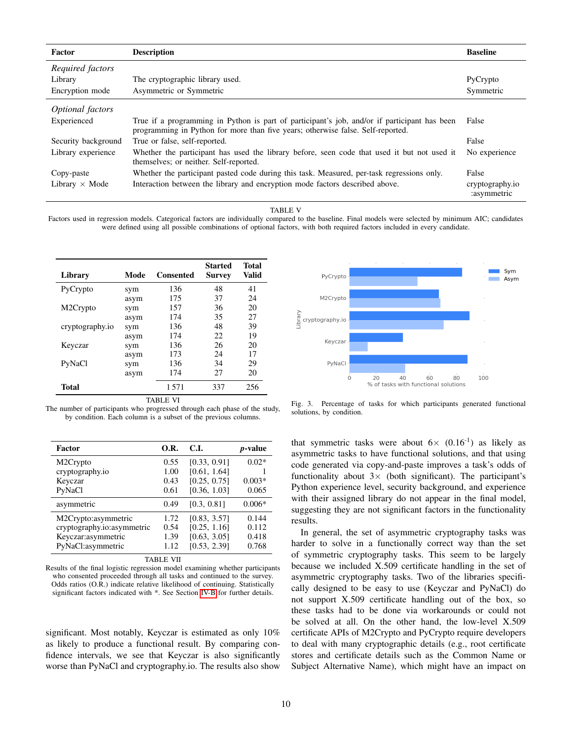| Factor                  | <b>Description</b>                                                                                                                                                              | <b>Baseline</b>                |
|-------------------------|---------------------------------------------------------------------------------------------------------------------------------------------------------------------------------|--------------------------------|
| Required factors        |                                                                                                                                                                                 |                                |
| Library                 | The cryptographic library used.                                                                                                                                                 | PyCrypto                       |
| Encryption mode         | Asymmetric or Symmetric                                                                                                                                                         | Symmetric                      |
| <i>Optional factors</i> |                                                                                                                                                                                 |                                |
| Experienced             | True if a programming in Python is part of participant's job, and/or if participant has been<br>programming in Python for more than five years; otherwise false. Self-reported. | False                          |
| Security background     | True or false, self-reported.                                                                                                                                                   | False                          |
| Library experience      | Whether the participant has used the library before, seen code that used it but not used it<br>themselves; or neither. Self-reported.                                           | No experience                  |
| Copy-paste              | Whether the participant pasted code during this task. Measured, per-task regressions only.                                                                                      | False                          |
| Library $\times$ Mode   | Interaction between the library and encryption mode factors described above.                                                                                                    | cryptography.io<br>:asymmetric |

TABLE V

<span id="page-9-0"></span>Factors used in regression models. Categorical factors are individually compared to the baseline. Final models were selected by minimum AIC; candidates were defined using all possible combinations of optional factors, with both required factors included in every candidate.

| Library         | Mode | <b>Consented</b> | Started<br>Survey | Total<br>Valid |
|-----------------|------|------------------|-------------------|----------------|
| PyCrypto        | sym  | 136              | 48                | 41             |
|                 | asym | 175              | 37                | 24             |
| M2Crypto        | sym  | 157              | 36                | 20             |
|                 | asym | 174              | 35                | 27             |
| cryptography.io | sym  | 136              | 48                | 39             |
|                 | asym | 174              | 22                | 19             |
| Keyczar         | sym  | 136              | 26                | 20             |
|                 | asym | 173              | 24                | 17             |
| PyNaCl          | sym  | 136              | 34                | 29             |
|                 | asym | 174              | 27                | 20             |
| Total           |      | 1571             | 337               | 256            |

TABLE VI

<span id="page-9-2"></span>The number of participants who progressed through each phase of the study, by condition. Each column is a subset of the previous columns.

| <b>Factor</b>              | O.R. | C.L.         | <i>p</i> -value |
|----------------------------|------|--------------|-----------------|
| M2Crypto                   | 0.55 | [0.33, 0.91] | $0.02*$         |
| cryptography.io            | 1.00 | [0.61, 1.64] |                 |
| Keyczar                    | 0.43 | [0.25, 0.75] | $0.003*$        |
| PyNaCl                     | 0.61 | [0.36, 1.03] | 0.065           |
| asymmetric                 | 0.49 | [0.3, 0.81]  | $0.006*$        |
| M2Crypto:asymmetric        | 1.72 | [0.83, 3.57] | 0.144           |
| cryptography.io:asymmetric | 0.54 | [0.25, 1.16] | 0.112           |
| Keyczar: asymmetric        | 1.39 | [0.63, 3.05] | 0.418           |
| PyNaCl:asymmetric          | 1.12 | [0.53, 2.39] | 0.768           |

TABLE VII

<span id="page-9-1"></span>Results of the final logistic regression model examining whether participants who consented proceeded through all tasks and continued to the survey. Odds ratios (O.R.) indicate relative likelihood of continuing. Statistically significant factors indicated with \*. See Section [IV-B](#page-7-3) for further details.

significant. Most notably, Keyczar is estimated as only 10% as likely to produce a functional result. By comparing confidence intervals, we see that Keyczar is also significantly worse than PyNaCl and cryptography.io. The results also show



<span id="page-9-3"></span>Fig. 3. Percentage of tasks for which participants generated functional solutions, by condition.

that symmetric tasks were about  $6 \times (0.16^{-1})$  as likely as asymmetric tasks to have functional solutions, and that using code generated via copy-and-paste improves a task's odds of functionality about  $3 \times$  (both significant). The participant's Python experience level, security background, and experience with their assigned library do not appear in the final model, suggesting they are not significant factors in the functionality results.

In general, the set of asymmetric cryptography tasks was harder to solve in a functionally correct way than the set of symmetric cryptography tasks. This seem to be largely because we included X.509 certificate handling in the set of asymmetric cryptography tasks. Two of the libraries specifically designed to be easy to use (Keyczar and PyNaCl) do not support X.509 certificate handling out of the box, so these tasks had to be done via workarounds or could not be solved at all. On the other hand, the low-level X.509 certificate APIs of M2Crypto and PyCrypto require developers to deal with many cryptographic details (e.g., root certificate stores and certificate details such as the Common Name or Subject Alternative Name), which might have an impact on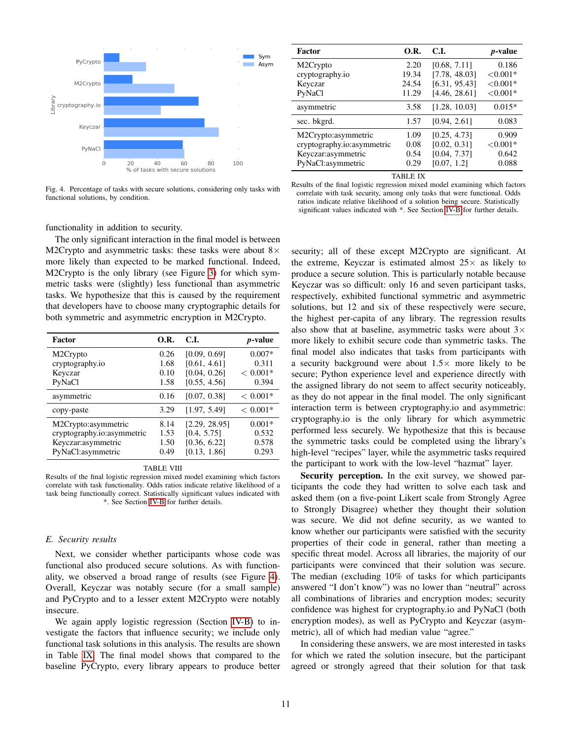

<span id="page-10-1"></span>Fig. 4. Percentage of tasks with secure solutions, considering only tasks with functional solutions, by condition.

| <b>Factor</b>              | O.R.     | C.L           | <i>p</i> -value |
|----------------------------|----------|---------------|-----------------|
| M2Crypto                   | 2.20     | [0.68, 7.11]  | 0.186           |
| cryptography.io            | 19.34    | [7.78, 48.03] | $< 0.001*$      |
| Keyczar                    | 24.54    | [6.31, 95.43] | ${<}0.001*$     |
| PyNaCl                     | 11.29    | [4.46, 28.61] | ${<}0.001*$     |
| asymmetric                 | 3.58     | [1.28, 10.03] | $0.015*$        |
| sec. bkgrd.                | 1.57     | [0.94, 2.61]  | 0.083           |
| M2Crypto: asymmetric       | 1.09     | [0.25, 4.73]  | 0.909           |
| cryptography.io:asymmetric | 0.08     | [0.02, 0.31]  | ${<}0.001*$     |
| Keyczar: asymmetric        | 0.54     | [0.04, 7.37]  | 0.642           |
| PyNaCl:asymmetric          | 0.29     | [0.07, 1.2]   | 0.088           |
|                            | TABLE IX |               |                 |

<span id="page-10-2"></span>Results of the final logistic regression mixed model examining which factors correlate with task security, among only tasks that were functional. Odds ratios indicate relative likelihood of a solution being secure. Statistically significant values indicated with \*. See Section [IV-B](#page-7-3) for further details.

functionality in addition to security.

The only significant interaction in the final model is between M2Crypto and asymmetric tasks: these tasks were about  $8\times$ more likely than expected to be marked functional. Indeed, M2Crypto is the only library (see Figure [3\)](#page-9-3) for which symmetric tasks were (slightly) less functional than asymmetric tasks. We hypothesize that this is caused by the requirement that developers have to choose many cryptographic details for both symmetric and asymmetric encryption in M2Crypto.

| Factor                     | O.R. | C.L           | <i>p</i> -value |
|----------------------------|------|---------------|-----------------|
| M2Crypto                   | 0.26 | [0.09, 0.69]  | $0.007*$        |
| cryptography.io            | 1.68 | [0.61, 4.61]  | 0.311           |
| Keyczar                    | 0.10 | [0.04, 0.26]  | $< 0.001*$      |
| PyNaCl                     | 1.58 | [0.55, 4.56]  | 0.394           |
| asymmetric                 | 0.16 | [0.07, 0.38]  | $< 0.001*$      |
| copy-paste                 | 3.29 | [1.97, 5.49]  | $< 0.001*$      |
| M2Crypto:asymmetric        | 8.14 | [2.29, 28.95] | $0.001*$        |
| cryptography.io:asymmetric | 1.53 | [0.4, 5.75]   | 0.532           |
| Keyczar: asymmetric        | 1.50 | [0.36, 6.22]  | 0.578           |
| PyNaCl:asymmetric          | 0.49 | [0.13, 1.86]  | 0.293           |

TABLE VIII

<span id="page-10-0"></span>Results of the final logistic regression mixed model examining which factors correlate with task functionality. Odds ratios indicate relative likelihood of a task being functionally correct. Statistically significant values indicated with \*. See Section [IV-B](#page-7-3) for further details.

### *E. Security results*

Next, we consider whether participants whose code was functional also produced secure solutions. As with functionality, we observed a broad range of results (see Figure [4\)](#page-10-1). Overall, Keyczar was notably secure (for a small sample) and PyCrypto and to a lesser extent M2Crypto were notably insecure.

We again apply logistic regression (Section [IV-B\)](#page-7-3) to investigate the factors that influence security; we include only functional task solutions in this analysis. The results are shown in Table [IX.](#page-10-2) The final model shows that compared to the baseline PyCrypto, every library appears to produce better security; all of these except M2Crypto are significant. At the extreme, Keyczar is estimated almost  $25 \times$  as likely to produce a secure solution. This is particularly notable because Keyczar was so difficult: only 16 and seven participant tasks, respectively, exhibited functional symmetric and asymmetric solutions, but 12 and six of these respectively were secure, the highest per-capita of any library. The regression results also show that at baseline, asymmetric tasks were about  $3\times$ more likely to exhibit secure code than symmetric tasks. The final model also indicates that tasks from participants with a security background were about  $1.5\times$  more likely to be secure; Python experience level and experience directly with the assigned library do not seem to affect security noticeably, as they do not appear in the final model. The only significant interaction term is between cryptography.io and asymmetric: cryptography.io is the only library for which asymmetric performed less securely. We hypothesize that this is because the symmetric tasks could be completed using the library's high-level "recipes" layer, while the asymmetric tasks required the participant to work with the low-level "hazmat" layer.

Security perception. In the exit survey, we showed participants the code they had written to solve each task and asked them (on a five-point Likert scale from Strongly Agree to Strongly Disagree) whether they thought their solution was secure. We did not define security, as we wanted to know whether our participants were satisfied with the security properties of their code in general, rather than meeting a specific threat model. Across all libraries, the majority of our participants were convinced that their solution was secure. The median (excluding 10% of tasks for which participants answered "I don't know") was no lower than "neutral" across all combinations of libraries and encryption modes; security confidence was highest for cryptography.io and PyNaCl (both encryption modes), as well as PyCrypto and Keyczar (asymmetric), all of which had median value "agree."

In considering these answers, we are most interested in tasks for which we rated the solution insecure, but the participant agreed or strongly agreed that their solution for that task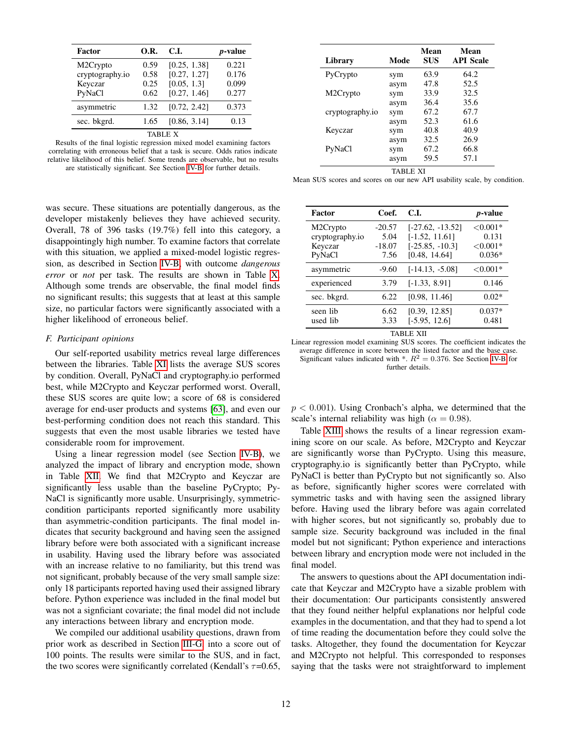| <b>Factor</b>                               | O.R. | C.L          | <i>p</i> -value |  |  |  |
|---------------------------------------------|------|--------------|-----------------|--|--|--|
| M2Crypto                                    | 0.59 | [0.25, 1.38] | 0.221           |  |  |  |
| cryptography.io                             | 0.58 | [0.27, 1.27] | 0.176           |  |  |  |
| Keyczar                                     | 0.25 | [0.05, 1.3]  | 0.099           |  |  |  |
| PyNaCl                                      | 0.62 | [0.27, 1.46] | 0.277           |  |  |  |
| asymmetric                                  | 1.32 | [0.72, 2.42] | 0.373           |  |  |  |
| [0.86, 3.14]<br>sec. bkgrd.<br>0.13<br>1.65 |      |              |                 |  |  |  |
|                                             |      | TABLE X      |                 |  |  |  |

<span id="page-11-1"></span>Results of the final logistic regression mixed model examining factors correlating with erroneous belief that a task is secure. Odds ratios indicate relative likelihood of this belief. Some trends are observable, but no results are statistically significant. See Section [IV-B](#page-7-3) for further details.

was secure. These situations are potentially dangerous, as the developer mistakenly believes they have achieved security. Overall, 78 of 396 tasks (19.7%) fell into this category, a disappointingly high number. To examine factors that correlate with this situation, we applied a mixed-model logistic regression, as described in Section [IV-B,](#page-7-3) with outcome *dangerous error* or *not* per task. The results are shown in Table [X.](#page-11-1) Although some trends are observable, the final model finds no significant results; this suggests that at least at this sample size, no particular factors were significantly associated with a higher likelihood of erroneous belief.

# <span id="page-11-0"></span>*F. Participant opinions*

Our self-reported usability metrics reveal large differences between the libraries. Table [XI](#page-11-2) lists the average SUS scores by condition. Overall, PyNaCl and cryptography.io performed best, while M2Crypto and Keyczar performed worst. Overall, these SUS scores are quite low; a score of 68 is considered average for end-user products and systems [\[63\]](#page-15-39), and even our best-performing condition does not reach this standard. This suggests that even the most usable libraries we tested have considerable room for improvement.

Using a linear regression model (see Section [IV-B\)](#page-7-3), we analyzed the impact of library and encryption mode, shown in Table [XII.](#page-11-3) We find that M2Crypto and Keyczar are significantly less usable than the baseline PyCrypto; Py-NaCl is significantly more usable. Unsurprisingly, symmetriccondition participants reported significantly more usability than asymmetric-condition participants. The final model indicates that security background and having seen the assigned library before were both associated with a significant increase in usability. Having used the library before was associated with an increase relative to no familiarity, but this trend was not significant, probably because of the very small sample size: only 18 participants reported having used their assigned library before. Python experience was included in the final model but was not a signficiant covariate; the final model did not include any interactions between library and encryption mode.

We compiled our additional usability questions, drawn from prior work as described in Section [III-G,](#page-5-1) into a score out of 100 points. The results were similar to the SUS, and in fact, the two scores were significantly correlated (Kendall's  $\tau$ =0.65,

| Library         | Mode | Mean<br><b>SUS</b> | Mean<br><b>API</b> Scale |
|-----------------|------|--------------------|--------------------------|
| PyCrypto        | sym  | 63.9               | 64.2                     |
|                 | asym | 47.8               | 52.5                     |
| M2Crypto        | sym  | 33.9               | 32.5                     |
|                 | asym | 36.4               | 35.6                     |
| cryptography.io | sym  | 67.2               | 67.7                     |
|                 | asym | 52.3               | 61.6                     |
| Keyczar         | sym  | 40.8               | 40.9                     |
|                 | asym | 32.5               | 26.9                     |
| PyNaCl          | sym  | 67.2               | 66.8                     |
|                 | asym | 59.5               | 57.1                     |

<span id="page-11-2"></span>

|  |  |  |  |  |  |  |  | Mean SUS scores and scores on our new API usability scale, by condition. |
|--|--|--|--|--|--|--|--|--------------------------------------------------------------------------|
|--|--|--|--|--|--|--|--|--------------------------------------------------------------------------|

|          |                    | <i>p</i> -value      |
|----------|--------------------|----------------------|
|          |                    |                      |
| $-20.57$ | $[-27.62, -13.52]$ | ${<}0.001*$          |
| 5.04     | $[-1.52, 11.61]$   | 0.131                |
| $-18.07$ | $[-25.85, -10.3]$  | ${<}0.001*$          |
| 7.56     | [0.48, 14.64]      | $0.036*$             |
| $-9.60$  | $[-14.13, -5.08]$  | ${<}0.001*$          |
| 3.79     | $[-1.33, 8.91]$    | 0.146                |
| 6.22     | [0.98, 11.46]      | $0.02*$              |
| 6.62     |                    | $0.037*$             |
| 3.33     | $[-5.95, 12.6]$    | 0.481                |
|          | Coef.              | C.L<br>[0.39, 12.85] |

TABLE XII

<span id="page-11-3"></span>Linear regression model examining SUS scores. The coefficient indicates the average difference in score between the listed factor and the base case. Significant values indicated with  $*$ .  $R^2 = 0.376$ . See Section [IV-B](#page-7-3) for further details.

 $p < 0.001$ ). Using Cronbach's alpha, we determined that the scale's internal reliability was high ( $\alpha = 0.98$ ).

Table [XIII](#page-12-0) shows the results of a linear regression examining score on our scale. As before, M2Crypto and Keyczar are significantly worse than PyCrypto. Using this measure, cryptography.io is significantly better than PyCrypto, while PyNaCl is better than PyCrypto but not significantly so. Also as before, significantly higher scores were correlated with symmetric tasks and with having seen the assigned library before. Having used the library before was again correlated with higher scores, but not significantly so, probably due to sample size. Security background was included in the final model but not significant; Python experience and interactions between library and encryption mode were not included in the final model.

The answers to questions about the API documentation indicate that Keyczar and M2Crypto have a sizable problem with their documentation: Our participants consistently answered that they found neither helpful explanations nor helpful code examples in the documentation, and that they had to spend a lot of time reading the documentation before they could solve the tasks. Altogether, they found the documentation for Keyczar and M2Crypto not helpful. This corresponded to responses saying that the tasks were not straightforward to implement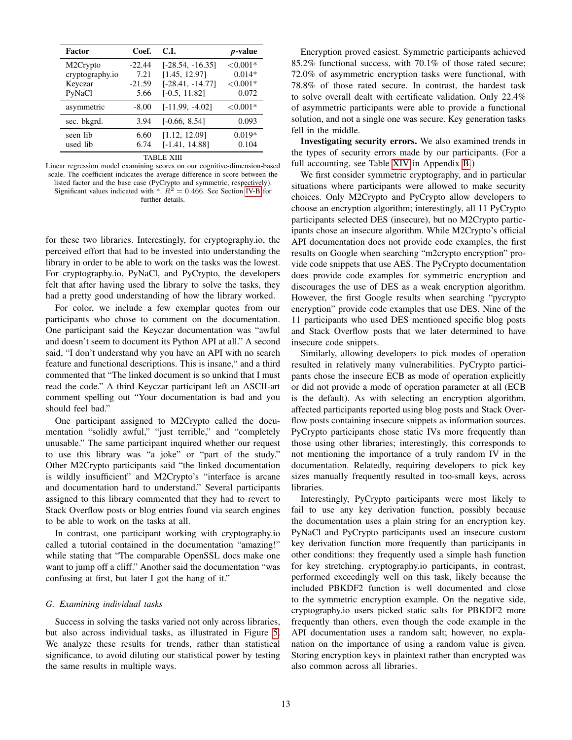| Factor          | Coef.    | C.L.               | <i>p</i> -value |
|-----------------|----------|--------------------|-----------------|
| M2Crypto        | $-22.44$ | $[-28.54, -16.35]$ | ${<}0.001*$     |
| cryptography.io | 7.21     | [1.45, 12.97]      | $0.014*$        |
| Keyczar         | $-21.59$ | $[-28.41, -14.77]$ | ${<}0.001*$     |
| PyNaCl          | 5.66     | $[-0.5, 11.82]$    | 0.072           |
| asymmetric      | $-8.00$  | $[-11.99, -4.02]$  | ${<}0.001*$     |
| sec. bkgrd.     | 3.94     | $[-0.66, 8.54]$    | 0.093           |
| seen lib        | 6.60     | [1.12, 12.09]      | $0.019*$        |
| used lib        | 6.74     | $[-1.41, 14.88]$   | 0.104           |

TABLE XIII

<span id="page-12-0"></span>Linear regression model examining scores on our cognitive-dimension-based scale. The coefficient indicates the average difference in score between the listed factor and the base case (PyCrypto and symmetric, respectively).

Significant values indicated with  $^*$ .  $R^2 = 0.466$ . See Section [IV-B](#page-7-3) for further details.

for these two libraries. Interestingly, for cryptography.io, the perceived effort that had to be invested into understanding the library in order to be able to work on the tasks was the lowest. For cryptography.io, PyNaCl, and PyCrypto, the developers felt that after having used the library to solve the tasks, they had a pretty good understanding of how the library worked.

For color, we include a few exemplar quotes from our participants who chose to comment on the documentation. One participant said the Keyczar documentation was "awful and doesn't seem to document its Python API at all." A second said, "I don't understand why you have an API with no search feature and functional descriptions. This is insane," and a third commented that "The linked document is so unkind that I must read the code." A third Keyczar participant left an ASCII-art comment spelling out "Your documentation is bad and you should feel bad."

One participant assigned to M2Crypto called the documentation "solidly awful," "just terrible," and "completely unusable." The same participant inquired whether our request to use this library was "a joke" or "part of the study." Other M2Crypto participants said "the linked documentation is wildly insufficient" and M2Crypto's "interface is arcane and documentation hard to understand." Several participants assigned to this library commented that they had to revert to Stack Overflow posts or blog entries found via search engines to be able to work on the tasks at all.

In contrast, one participant working with cryptography.io called a tutorial contained in the documentation "amazing!" while stating that "The comparable OpenSSL docs make one want to jump off a cliff." Another said the documentation "was confusing at first, but later I got the hang of it."

#### *G. Examining individual tasks*

Success in solving the tasks varied not only across libraries, but also across individual tasks, as illustrated in Figure [5.](#page-13-0) We analyze these results for trends, rather than statistical significance, to avoid diluting our statistical power by testing the same results in multiple ways.

Encryption proved easiest. Symmetric participants achieved 85.2% functional success, with 70.1% of those rated secure; 72.0% of asymmetric encryption tasks were functional, with 78.8% of those rated secure. In contrast, the hardest task to solve overall dealt with certificate validation. Only 22.4% of asymmetric participants were able to provide a functional solution, and not a single one was secure. Key generation tasks fell in the middle.

Investigating security errors. We also examined trends in the types of security errors made by our participants. (For a full accounting, see Table [XIV](#page-17-0) in Appendix [B.](#page-16-0))

We first consider symmetric cryptography, and in particular situations where participants were allowed to make security choices. Only M2Crypto and PyCrypto allow developers to choose an encryption algorithm; interestingly, all 11 PyCrypto participants selected DES (insecure), but no M2Crypto participants chose an insecure algorithm. While M2Crypto's official API documentation does not provide code examples, the first results on Google when searching "m2crypto encryption" provide code snippets that use AES. The PyCrypto documentation does provide code examples for symmetric encryption and discourages the use of DES as a weak encryption algorithm. However, the first Google results when searching "pycrypto encryption" provide code examples that use DES. Nine of the 11 participants who used DES mentioned specific blog posts and Stack Overflow posts that we later determined to have insecure code snippets.

Similarly, allowing developers to pick modes of operation resulted in relatively many vulnerabilities. PyCrypto participants chose the insecure ECB as mode of operation explicitly or did not provide a mode of operation parameter at all (ECB is the default). As with selecting an encryption algorithm, affected participants reported using blog posts and Stack Overflow posts containing insecure snippets as information sources. PyCrypto participants chose static IVs more frequently than those using other libraries; interestingly, this corresponds to not mentioning the importance of a truly random IV in the documentation. Relatedly, requiring developers to pick key sizes manually frequently resulted in too-small keys, across libraries.

Interestingly, PyCrypto participants were most likely to fail to use any key derivation function, possibly because the documentation uses a plain string for an encryption key. PyNaCl and PyCrypto participants used an insecure custom key derivation function more frequently than participants in other conditions: they frequently used a simple hash function for key stretching. cryptography.io participants, in contrast, performed exceedingly well on this task, likely because the included PBKDF2 function is well documented and close to the symmetric encryption example. On the negative side, cryptography.io users picked static salts for PBKDF2 more frequently than others, even though the code example in the API documentation uses a random salt; however, no explanation on the importance of using a random value is given. Storing encryption keys in plaintext rather than encrypted was also common across all libraries.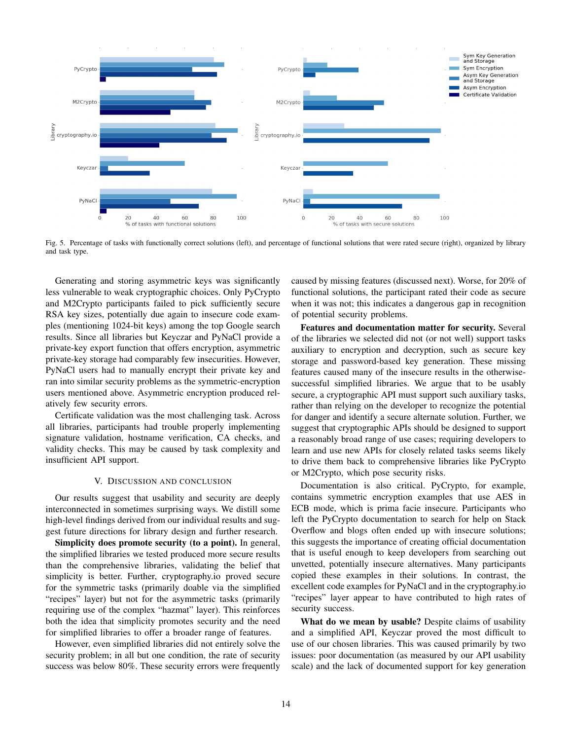

<span id="page-13-0"></span>Fig. 5. Percentage of tasks with functionally correct solutions (left), and percentage of functional solutions that were rated secure (right), organized by library and task type.

Generating and storing asymmetric keys was significantly less vulnerable to weak cryptographic choices. Only PyCrypto and M2Crypto participants failed to pick sufficiently secure RSA key sizes, potentially due again to insecure code examples (mentioning 1024-bit keys) among the top Google search results. Since all libraries but Keyczar and PyNaCl provide a private-key export function that offers encryption, asymmetric private-key storage had comparably few insecurities. However, PyNaCl users had to manually encrypt their private key and ran into similar security problems as the symmetric-encryption users mentioned above. Asymmetric encryption produced relatively few security errors.

Certificate validation was the most challenging task. Across all libraries, participants had trouble properly implementing signature validation, hostname verification, CA checks, and validity checks. This may be caused by task complexity and insufficient API support.

# V. DISCUSSION AND CONCLUSION

Our results suggest that usability and security are deeply interconnected in sometimes surprising ways. We distill some high-level findings derived from our individual results and suggest future directions for library design and further research.

Simplicity does promote security (to a point). In general, the simplified libraries we tested produced more secure results than the comprehensive libraries, validating the belief that simplicity is better. Further, cryptography.io proved secure for the symmetric tasks (primarily doable via the simplified "recipes" layer) but not for the asymmetric tasks (primarily requiring use of the complex "hazmat" layer). This reinforces both the idea that simplicity promotes security and the need for simplified libraries to offer a broader range of features.

However, even simplified libraries did not entirely solve the security problem; in all but one condition, the rate of security success was below 80%. These security errors were frequently caused by missing features (discussed next). Worse, for 20% of functional solutions, the participant rated their code as secure when it was not; this indicates a dangerous gap in recognition of potential security problems.

Features and documentation matter for security. Several of the libraries we selected did not (or not well) support tasks auxiliary to encryption and decryption, such as secure key storage and password-based key generation. These missing features caused many of the insecure results in the otherwisesuccessful simplified libraries. We argue that to be usably secure, a cryptographic API must support such auxiliary tasks, rather than relying on the developer to recognize the potential for danger and identify a secure alternate solution. Further, we suggest that cryptographic APIs should be designed to support a reasonably broad range of use cases; requiring developers to learn and use new APIs for closely related tasks seems likely to drive them back to comprehensive libraries like PyCrypto or M2Crypto, which pose security risks.

Documentation is also critical. PyCrypto, for example, contains symmetric encryption examples that use AES in ECB mode, which is prima facie insecure. Participants who left the PyCrypto documentation to search for help on Stack Overflow and blogs often ended up with insecure solutions; this suggests the importance of creating official documentation that is useful enough to keep developers from searching out unvetted, potentially insecure alternatives. Many participants copied these examples in their solutions. In contrast, the excellent code examples for PyNaCl and in the cryptography.io "recipes" layer appear to have contributed to high rates of security success.

What do we mean by usable? Despite claims of usability and a simplified API, Keyczar proved the most difficult to use of our chosen libraries. This was caused primarily by two issues: poor documentation (as measured by our API usability scale) and the lack of documented support for key generation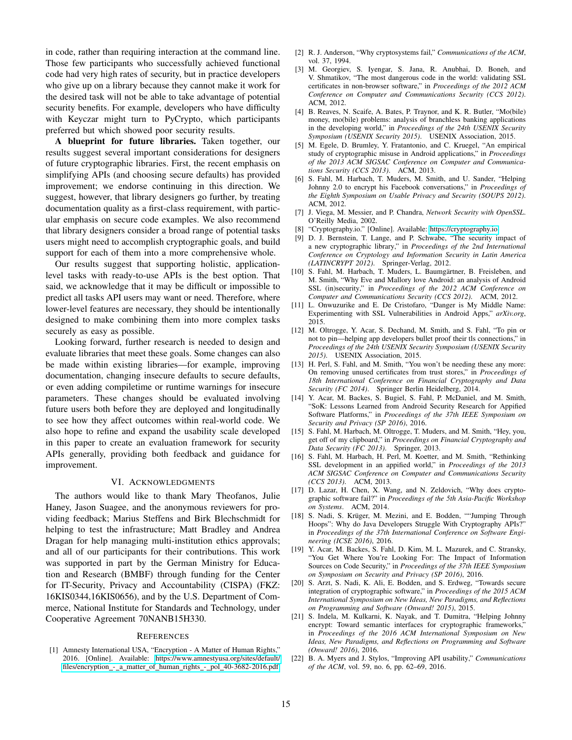in code, rather than requiring interaction at the command line. Those few participants who successfully achieved functional code had very high rates of security, but in practice developers who give up on a library because they cannot make it work for the desired task will not be able to take advantage of potential security benefits. For example, developers who have difficulty with Keyczar might turn to PyCrypto, which participants preferred but which showed poor security results.

A blueprint for future libraries. Taken together, our results suggest several important considerations for designers of future cryptographic libraries. First, the recent emphasis on simplifying APIs (and choosing secure defaults) has provided improvement; we endorse continuing in this direction. We suggest, however, that library designers go further, by treating documentation quality as a first-class requirement, with particular emphasis on secure code examples. We also recommend that library designers consider a broad range of potential tasks users might need to accomplish cryptographic goals, and build support for each of them into a more comprehensive whole.

Our results suggest that supporting holistic, applicationlevel tasks with ready-to-use APIs is the best option. That said, we acknowledge that it may be difficult or impossible to predict all tasks API users may want or need. Therefore, where lower-level features are necessary, they should be intentionally designed to make combining them into more complex tasks securely as easy as possible.

Looking forward, further research is needed to design and evaluate libraries that meet these goals. Some changes can also be made within existing libraries—for example, improving documentation, changing insecure defaults to secure defaults, or even adding compiletime or runtime warnings for insecure parameters. These changes should be evaluated involving future users both before they are deployed and longitudinally to see how they affect outcomes within real-world code. We also hope to refine and expand the usability scale developed in this paper to create an evaluation framework for security APIs generally, providing both feedback and guidance for improvement.

# VI. ACKNOWLEDGMENTS

The authors would like to thank Mary Theofanos, Julie Haney, Jason Suagee, and the anonymous reviewers for providing feedback; Marius Steffens and Birk Blechschmidt for helping to test the infrastructure; Matt Bradley and Andrea Dragan for help managing multi-institution ethics approvals; and all of our participants for their contributions. This work was supported in part by the German Ministry for Education and Research (BMBF) through funding for the Center for IT-Security, Privacy and Accountability (CISPA) (FKZ: 16KIS0344,16KIS0656), and by the U.S. Department of Commerce, National Institute for Standards and Technology, under Cooperative Agreement 70NANB15H330.

#### **REFERENCES**

<span id="page-14-0"></span>[1] Amnesty International USA, "Encryption - A Matter of Human Rights," 2016. [Online]. Available: [https://www.amnestyusa.org/sites/default/](https://www.amnestyusa.org/sites/default/files/encryption_-_a_matter_of_human_rights_-_pol_40-3682-2016.pdf) files/encryption\_-\_a\_matter\_of\_human\_rights\_-\_pol\_[40-3682-2016.pdf](https://www.amnestyusa.org/sites/default/files/encryption_-_a_matter_of_human_rights_-_pol_40-3682-2016.pdf)

- <span id="page-14-1"></span>[2] R. J. Anderson, "Why cryptosystems fail," *Communications of the ACM*, vol. 37, 1994.
- <span id="page-14-12"></span>[3] M. Georgiev, S. Iyengar, S. Jana, R. Anubhai, D. Boneh, and V. Shmatikov, "The most dangerous code in the world: validating SSL certificates in non-browser software," in *Proceedings of the 2012 ACM Conference on Computer and Communications Security (CCS 2012)*. ACM, 2012.
- <span id="page-14-10"></span>[4] B. Reaves, N. Scaife, A. Bates, P. Traynor, and K. R. Butler, "Mo(bile) money, mo(bile) problems: analysis of branchless banking applications in the developing world," in *Proceedings of the 24th USENIX Security Symposium (USENIX Security 2015)*. USENIX Association, 2015.
- <span id="page-14-2"></span>[5] M. Egele, D. Brumley, Y. Fratantonio, and C. Kruegel, "An empirical study of cryptographic misuse in Android applications," in *Proceedings of the 2013 ACM SIGSAC Conference on Computer and Communications Security (CCS 2013)*. ACM, 2013.
- <span id="page-14-3"></span>[6] S. Fahl, M. Harbach, T. Muders, M. Smith, and U. Sander, "Helping Johnny 2.0 to encrypt his Facebook conversations," in *Proceedings of the Eighth Symposium on Usable Privacy and Security (SOUPS 2012)*. ACM, 2012.
- <span id="page-14-4"></span>[7] J. Viega, M. Messier, and P. Chandra, *Network Security with OpenSSL*. O'Reilly Media, 2002.
- <span id="page-14-5"></span>[8] "Cryptography.io." [Online]. Available:<https://cryptography.io>
- <span id="page-14-6"></span>[9] D. J. Bernstein, T. Lange, and P. Schwabe, "The security impact of a new cryptographic library," in *Proceedings of the 2nd International Conference on Cryptology and Information Security in Latin America (LATINCRYPT 2012)*. Springer-Verlag, 2012.
- <span id="page-14-7"></span>[10] S. Fahl, M. Harbach, T. Muders, L. Baumgärtner, B. Freisleben, and M. Smith, "Why Eve and Mallory love Android: an analysis of Android SSL (in)security," in *Proceedings of the 2012 ACM Conference on Computer and Communications Security (CCS 2012)*. ACM, 2012.
- [11] L. Onwuzurike and E. De Cristofaro, "Danger is My Middle Name: Experimenting with SSL Vulnerabilities in Android Apps," *arXiv.org*, 2015.
- [12] M. Oltrogge, Y. Acar, S. Dechand, M. Smith, and S. Fahl, "To pin or not to pin—helping app developers bullet proof their tls connections," in *Proceedings of the 24th USENIX Security Symposium (USENIX Security 2015)*. USENIX Association, 2015.
- [13] H. Perl, S. Fahl, and M. Smith, "You won't be needing these any more: On removing unused certificates from trust stores," in *Proceedings of 18th International Conference on Financial Cryptography and Data Security (FC 2014)*. Springer Berlin Heidelberg, 2014.
- [14] Y. Acar, M. Backes, S. Bugiel, S. Fahl, P. McDaniel, and M. Smith, "SoK: Lessons Learned from Android Security Research for Appified Software Platforms," in *Proceedings of the 37th IEEE Symposium on Security and Privacy (SP 2016)*, 2016.
- <span id="page-14-8"></span>[15] S. Fahl, M. Harbach, M. Oltrogge, T. Muders, and M. Smith, "Hey, you, get off of my clipboard," in *Proceedings on Financial Cryptography and Data Security (FC 2013)*. Springer, 2013.
- <span id="page-14-9"></span>[16] S. Fahl, M. Harbach, H. Perl, M. Koetter, and M. Smith, "Rethinking SSL development in an appified world," in *Proceedings of the 2013 ACM SIGSAC Conference on Computer and Communications Security (CCS 2013)*. ACM, 2013.
- <span id="page-14-11"></span>[17] D. Lazar, H. Chen, X. Wang, and N. Zeldovich, "Why does cryptographic software fail?" in *Proceedings of the 5th Asia-Pacific Workshop on Systems*. ACM, 2014.
- <span id="page-14-13"></span>[18] S. Nadi, S. Krüger, M. Mezini, and E. Bodden, ""Jumping Through Hoops": Why do Java Developers Struggle With Cryptography APIs?" in *Proceedings of the 37th International Conference on Software Engineering (ICSE 2016)*, 2016.
- <span id="page-14-14"></span>[19] Y. Acar, M. Backes, S. Fahl, D. Kim, M. L. Mazurek, and C. Stransky, "You Get Where You're Looking For: The Impact of Information Sources on Code Security," in *Proceedings of the 37th IEEE Symposium on Symposium on Security and Privacy (SP 2016)*, 2016.
- <span id="page-14-15"></span>[20] S. Arzt, S. Nadi, K. Ali, E. Bodden, and S. Erdweg, "Towards secure integration of cryptographic software," in *Proceedings of the 2015 ACM International Symposium on New Ideas, New Paradigms, and Reflections on Programming and Software (Onward! 2015)*, 2015.
- <span id="page-14-16"></span>[21] S. Indela, M. Kulkarni, K. Nayak, and T. Dumitra, "Helping Johnny encrypt: Toward semantic interfaces for cryptographic frameworks," in *Proceedings of the 2016 ACM International Symposium on New Ideas, New Paradigms, and Reflections on Programming and Software (Onward! 2016)*, 2016.
- <span id="page-14-17"></span>[22] B. A. Myers and J. Stylos, "Improving API usability," *Communications of the ACM*, vol. 59, no. 6, pp. 62–69, 2016.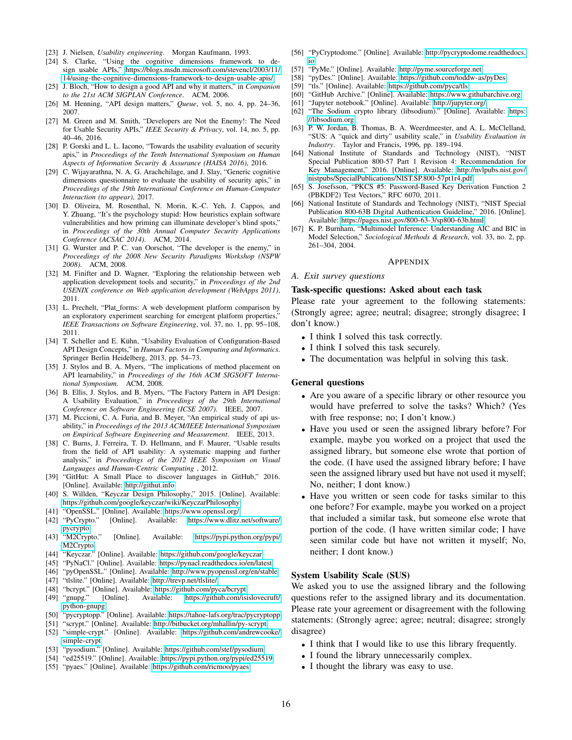- <span id="page-15-40"></span>[23] J. Nielsen, *Usability engineering*. Morgan Kaufmann, 1993.
- <span id="page-15-0"></span>[24] S. Clarke, "Using the cognitive dimensions framework to design usable APIs," [https://blogs.msdn.microsoft.com/stevencl/2003/11/](https://blogs.msdn.microsoft.com/stevencl/2003/11/14/using-the-cognitive-dimensions-framework-to-design-usable-apis/) [14/using-the-cognitive-dimensions-framework-to-design-usable-apis/.](https://blogs.msdn.microsoft.com/stevencl/2003/11/14/using-the-cognitive-dimensions-framework-to-design-usable-apis/)
- <span id="page-15-1"></span>[25] J. Bloch, "How to design a good API and why it matters," in *Companion to the 21st ACM SIGPLAN Conference*. ACM, 2006.
- <span id="page-15-2"></span>[26] M. Henning, "API design matters," *Queue*, vol. 5, no. 4, pp. 24–36, 2007.
- <span id="page-15-3"></span>[27] M. Green and M. Smith, "Developers are Not the Enemy!: The Need for Usable Security APIs," *IEEE Security & Privacy*, vol. 14, no. 5, pp. 40–46, 2016.
- <span id="page-15-4"></span>[28] P. Gorski and L. L. Iacono, "Towards the usability evaluation of security apis," in *Proceedings of the Tenth International Symposium on Human Aspects of Information Security & Assurance (HAISA 2016)*, 2016.
- <span id="page-15-5"></span>[29] C. Wijayarathna, N. A. G. Arachchilage, and J. Slay, "Generic cognitive dimensions questionnaire to evaluate the usability of security apis," in *Proceedings of the 19th International Conference on Human-Computer Interaction (to appear)*, 2017.
- <span id="page-15-6"></span>[30] D. Oliveira, M. Rosenthal, N. Morin, K.-C. Yeh, J. Cappos, and Y. Zhuang, "It's the psychology stupid: How heuristics explain software vulnerabilities and how priming can illuminate developer's blind spots," in *Proceedings of the 30th Annual Computer Security Applications Conference (ACSAC 2014)*. ACM, 2014.
- <span id="page-15-7"></span>[31] G. Wurster and P. C. van Oorschot, "The developer is the enemy," in *Proceedings of the 2008 New Security Paradigms Workshop (NSPW 2008)*. ACM, 2008.
- <span id="page-15-8"></span>[32] M. Finifter and D. Wagner, "Exploring the relationship between web application development tools and security," in *Proceedings of the 2nd USENIX conference on Web application development (WebApps 2011)*, 2011.
- <span id="page-15-9"></span>[33] L. Prechelt, "Plat\_forms: A web development platform comparison by an exploratory experiment searching for emergent platform properties,' *IEEE Transactions on Software Engineering*, vol. 37, no. 1, pp. 95–108, 2011.
- <span id="page-15-10"></span>[34] T. Scheller and E. Kühn, "Usability Evaluation of Configuration-Based API Design Concepts," in *Human Factors in Computing and Informatics*. Springer Berlin Heidelberg, 2013, pp. 54–73.
- <span id="page-15-11"></span>[35] J. Stylos and B. A. Myers, "The implications of method placement on API learnability," in *Proceedings of the 16th ACM SIGSOFT International Symposium*. ACM, 2008.
- <span id="page-15-12"></span>[36] B. Ellis, J. Stylos, and B. Myers, "The Factory Pattern in API Design: A Usability Evaluation," in *Proceedings of the 29th International Conference on Software Engineering (ICSE 2007)*. IEEE, 2007.
- <span id="page-15-13"></span>[37] M. Piccioni, C. A. Furia, and B. Meyer, "An empirical study of api usability," in *Proceedings of the 2013 ACM/IEEE International Symposium on Empirical Software Engineering and Measurement*. IEEE, 2013.
- <span id="page-15-14"></span>[38] C. Burns, J. Ferreira, T. D. Hellmann, and F. Maurer, "Usable results from the field of API usability: A systematic mapping and further analysis," in *Proceedings of the 2012 IEEE Symposium on Visual Languages and Human-Centric Computing* , 2012.
- <span id="page-15-15"></span>[39] "GitHut: A Small Place to discover languages in GitHub," 2016. [Online]. Available:<http://githut.info>
- <span id="page-15-16"></span>[40] S. Willden, "Keyczar Design Philosophy," 2015. [Online]. Available: <https://github.com/google/keyczar/wiki/KeyczarPhilosophy>
- <span id="page-15-17"></span>[41] "OpenSSL." [Online]. Available:<https://www.openssl.org/>
- <span id="page-15-18"></span>[42] "PyCrypto." [Online]. Available: [https://www.dlitz.net/software/](https://www.dlitz.net/software/pycrypto) [pycrypto](https://www.dlitz.net/software/pycrypto)
- <span id="page-15-19"></span>[43] "M2Crypto." [Online]. Available: [https://pypi.python.org/pypi/](https://pypi.python.org/pypi/M2Crypto) [M2Crypto](https://pypi.python.org/pypi/M2Crypto)
- <span id="page-15-20"></span>[44] "Keyczar." [Online]. Available:<https://github.com/google/keyczar>
- <span id="page-15-21"></span>[45] "PyNaCl." [Online]. Available:<https://pynacl.readthedocs.io/en/latest>
- <span id="page-15-22"></span>[46] "pyOpenSSL." [Online]. Available:<http://www.pyopenssl.org/en/stable>
- <span id="page-15-23"></span>[47] "tlslite." [Online]. Available:<http://trevp.net/tlslite/>
- <span id="page-15-24"></span>[48] "bcrypt." [Online]. Available:<https://github.com/pyca/bcrypt>
- <span id="page-15-25"></span>[49] "gnupg." [Online]. Available: [https://github.com/isislovecruft/](https://github.com/isislovecruft/python-gnupg) [python-gnupg](https://github.com/isislovecruft/python-gnupg)
- <span id="page-15-26"></span>[50] "pycryptopp." [Online]. Available:<https://tahoe-lafs.org/trac/pycryptopp>
- <span id="page-15-27"></span>[51] "scrypt." [Online]. Available:<http://bitbucket.org/mhallin/py-scrypt>
- <span id="page-15-28"></span>[52] "simple-crypt." [Online]. Available: [https://github.com/andrewcooke/](https://github.com/andrewcooke/simple-crypt) [simple-crypt](https://github.com/andrewcooke/simple-crypt)
- <span id="page-15-29"></span>[53] "pysodium." [Online]. Available:<https://github.com/stef/pysodium>
- <span id="page-15-30"></span>[54] "ed25519." [Online]. Available:<https://pypi.python.org/pypi/ed25519>
- <span id="page-15-31"></span>[55] "pyaes." [Online]. Available:<https://github.com/ricmoo/pyaes>
- <span id="page-15-32"></span>[56] "PyCryptodome." [Online]. Available: [http://pycryptodome.readthedocs.](http://pycryptodome.readthedocs.io) [io](http://pycryptodome.readthedocs.io)
- <span id="page-15-33"></span>[57] "PyMe." [Online]. Available:<http://pyme.sourceforge.net>
- <span id="page-15-34"></span>[58] "pyDes." [Online]. Available:<https://github.com/toddw-as/pyDes>
- <span id="page-15-35"></span>[59] "tls." [Online]. Available:<https://github.com/pyca/tls>
- <span id="page-15-36"></span>[60] "GitHub Archive." [Online]. Available:<https://www.githubarchive.org>
- <span id="page-15-37"></span>[61] "Jupyter notebook." [Online]. Available:<http://jupyter.org/>
- <span id="page-15-38"></span>[62] "The Sodium crypto library (libsodium)." [Online]. Available: [https:](https://libsodium.org) [//libsodium.org](https://libsodium.org)
- <span id="page-15-39"></span>[63] P. W. Jordan, B. Thomas, B. A. Weerdmeester, and A. L. McClelland, "SUS: A "quick and dirty" usability scale," in *Usability Evaluation in Industry*. Taylor and Francis, 1996, pp. 189–194.
- <span id="page-15-42"></span>[64] National Institute of Standards and Technology (NIST), "NIST Special Publication 800-57 Part 1 Revision 4: Recommendation for Key Management," 2016. [Online]. Available: [http://nvlpubs.nist.gov/](http://nvlpubs.nist.gov/nistpubs/SpecialPublications/NIST.SP.800-57pt1r4.pdf) [nistpubs/SpecialPublications/NIST.SP.800-57pt1r4.pdf](http://nvlpubs.nist.gov/nistpubs/SpecialPublications/NIST.SP.800-57pt1r4.pdf)
- <span id="page-15-43"></span>[65] S. Josefsson, "PKCS #5: Password-Based Key Derivation Function 2 (PBKDF2) Test Vectors," RFC 6070, 2011.
- <span id="page-15-44"></span>[66] National Institute of Standards and Technology (NIST), "NIST Special Publication 800-63B Digital Authentication Guideline," 2016. [Online]. Available:<https://pages.nist.gov/800-63-3/sp800-63b.html>
- <span id="page-15-45"></span>[67] K. P. Burnham, "Multimodel Inference: Understanding AIC and BIC in Model Selection," *Sociological Methods & Research*, vol. 33, no. 2, pp. 261–304, 2004.

#### **APPENDIX**

#### <span id="page-15-41"></span>*A. Exit survey questions*

#### Task-specific questions: Asked about each task

Please rate your agreement to the following statements: (Strongly agree; agree; neutral; disagree; strongly disagree; I don't know.)

- I think I solved this task correctly.
- I think I solved this task securely.
- The documentation was helpful in solving this task.

## General questions

- Are you aware of a specific library or other resource you would have preferred to solve the tasks? Which? (Yes with free response; no; I don't know.)
- Have you used or seen the assigned library before? For example, maybe you worked on a project that used the assigned library, but someone else wrote that portion of the code. (I have used the assigned library before; I have seen the assigned library used but have not used it myself; No, neither; I dont know.)
- Have you written or seen code for tasks similar to this one before? For example, maybe you worked on a project that included a similar task, but someone else wrote that portion of the code. (I have written similar code; I have seen similar code but have not written it myself; No, neither; I dont know.)

# System Usability Scale (SUS)

We asked you to use the assigned library and the following questions refer to the assigned library and its documentation. Please rate your agreement or disagreement with the following statements: (Strongly agree; agree; neutral; disagree; strongly disagree)

- I think that I would like to use this library frequently.
- I found the library unnecessarily complex.
- I thought the library was easy to use.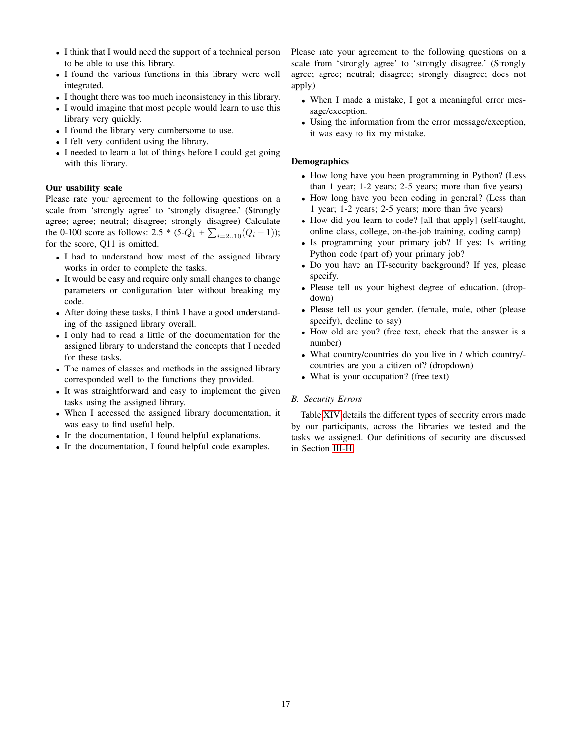- I think that I would need the support of a technical person to be able to use this library.
- I found the various functions in this library were well integrated.
- I thought there was too much inconsistency in this library.
- I would imagine that most people would learn to use this library very quickly.
- I found the library very cumbersome to use.
- I felt very confident using the library.
- I needed to learn a lot of things before I could get going with this library.

# Our usability scale

Please rate your agreement to the following questions on a scale from 'strongly agree' to 'strongly disagree.' (Strongly agree; agree; neutral; disagree; strongly disagree) Calculate the 0-100 score as follows: 2.5 \*  $(5-Q_1 + \sum_{i=2..10} (Q_i - 1));$ for the score, Q11 is omitted.

- I had to understand how most of the assigned library works in order to complete the tasks.
- It would be easy and require only small changes to change parameters or configuration later without breaking my code.
- After doing these tasks, I think I have a good understanding of the assigned library overall.
- I only had to read a little of the documentation for the assigned library to understand the concepts that I needed for these tasks.
- The names of classes and methods in the assigned library corresponded well to the functions they provided.
- It was straightforward and easy to implement the given tasks using the assigned library.
- When I accessed the assigned library documentation, it was easy to find useful help.
- In the documentation, I found helpful explanations.
- In the documentation, I found helpful code examples.

Please rate your agreement to the following questions on a scale from 'strongly agree' to 'strongly disagree.' (Strongly agree; agree; neutral; disagree; strongly disagree; does not apply)

- When I made a mistake, I got a meaningful error message/exception.
- Using the information from the error message/exception, it was easy to fix my mistake.

# Demographics

- How long have you been programming in Python? (Less than 1 year; 1-2 years; 2-5 years; more than five years)
- How long have you been coding in general? (Less than 1 year; 1-2 years; 2-5 years; more than five years)
- How did you learn to code? [all that apply] (self-taught, online class, college, on-the-job training, coding camp)
- Is programming your primary job? If yes: Is writing Python code (part of) your primary job?
- Do you have an IT-security background? If yes, please specify.
- Please tell us your highest degree of education. (dropdown)
- Please tell us your gender. (female, male, other (please specify), decline to say)
- How old are you? (free text, check that the answer is a number)
- What country/countries do you live in / which country/ countries are you a citizen of? (dropdown)
- What is your occupation? (free text)

# <span id="page-16-0"></span>*B. Security Errors*

Table [XIV](#page-17-0) details the different types of security errors made by our participants, across the libraries we tested and the tasks we assigned. Our definitions of security are discussed in Section [III-H.](#page-6-0)